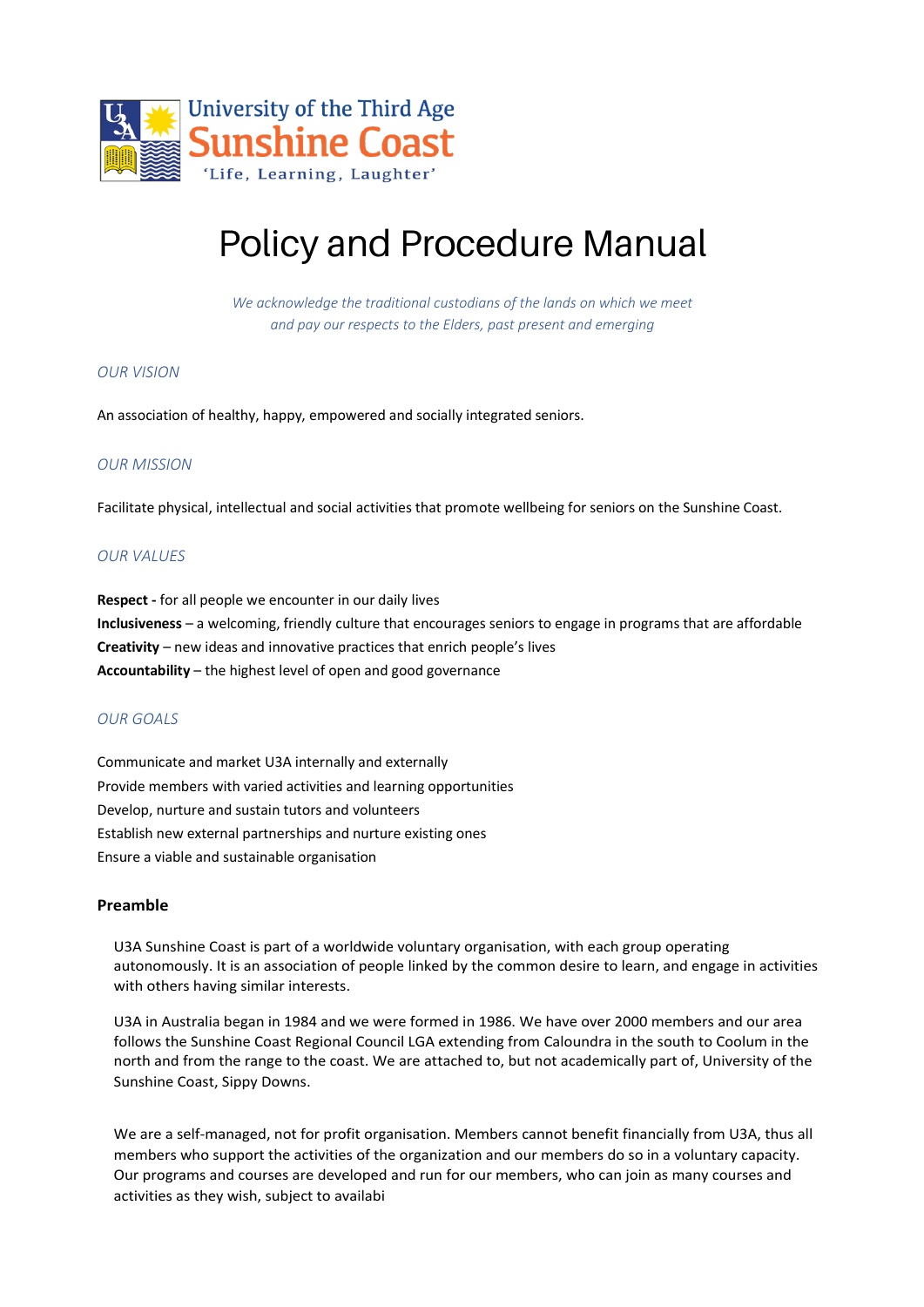

# Policy and Procedure Manual

*We acknowledge the traditional custodians of the lands on which we meet and pay our respects to the Elders, past present and emerging*

# *OUR VISION*

An association of healthy, happy, empowered and socially integrated seniors.

# *OUR MISSION*

Facilitate physical, intellectual and social activities that promote wellbeing for seniors on the Sunshine Coast.

# *OUR VALUES*

**Respect -** for all people we encounter in our daily lives **Inclusiveness** – a welcoming, friendly culture that encourages seniors to engage in programs that are affordable **Creativity** – new ideas and innovative practices that enrich people's lives **Accountability** – the highest level of open and good governance

#### *OUR GOALS*

Communicate and market U3A internally and externally Provide members with varied activities and learning opportunities Develop, nurture and sustain tutors and volunteers Establish new external partnerships and nurture existing ones Ensure a viable and sustainable organisation

#### **Preamble**

U3A Sunshine Coast is part of a worldwide voluntary organisation, with each group operating autonomously. It is an association of people linked by the common desire to learn, and engage in activities with others having similar interests.

U3A in Australia began in 1984 and we were formed in 1986. We have over 2000 members and our area follows the Sunshine Coast Regional Council LGA extending from Caloundra in the south to Coolum in the north and from the range to the coast. We are attached to, but not academically part of, University of the Sunshine Coast, Sippy Downs.

We are a self-managed, not for profit organisation. Members cannot benefit financially from U3A, thus all members who support the activities of the organization and our members do so in a voluntary capacity. Our programs and courses are developed and run for our members, who can join as many courses and activities as they wish, subject to availabi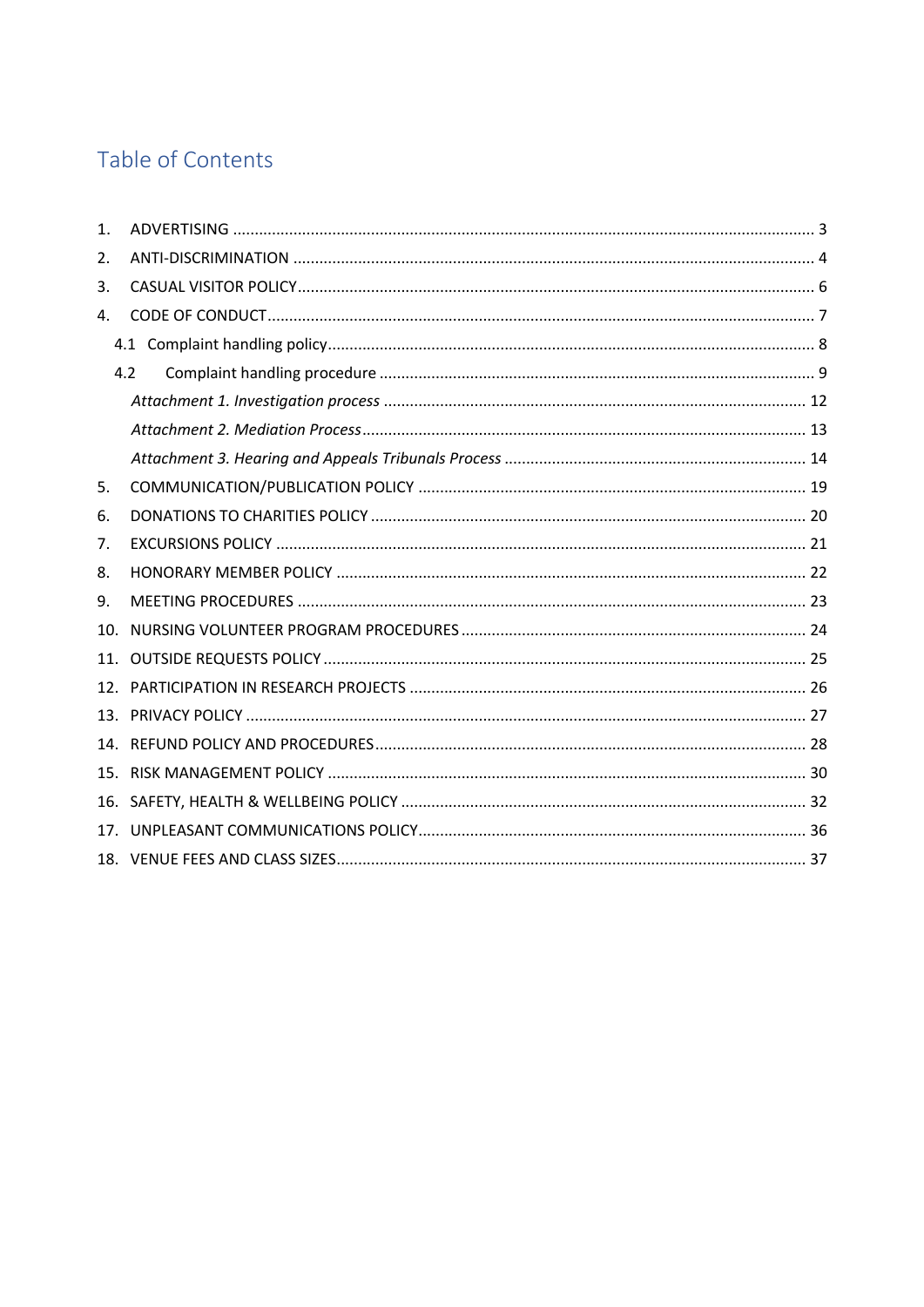# Table of Contents

| 1.  |     |  |
|-----|-----|--|
| 2.  |     |  |
| 3.  |     |  |
| 4.  |     |  |
|     |     |  |
|     | 4.2 |  |
|     |     |  |
|     |     |  |
|     |     |  |
| 5.  |     |  |
| 6.  |     |  |
| 7.  |     |  |
| 8.  |     |  |
| 9.  |     |  |
| 10. |     |  |
| 11. |     |  |
| 12. |     |  |
|     |     |  |
| 14. |     |  |
| 15. |     |  |
| 16. |     |  |
| 17. |     |  |
|     |     |  |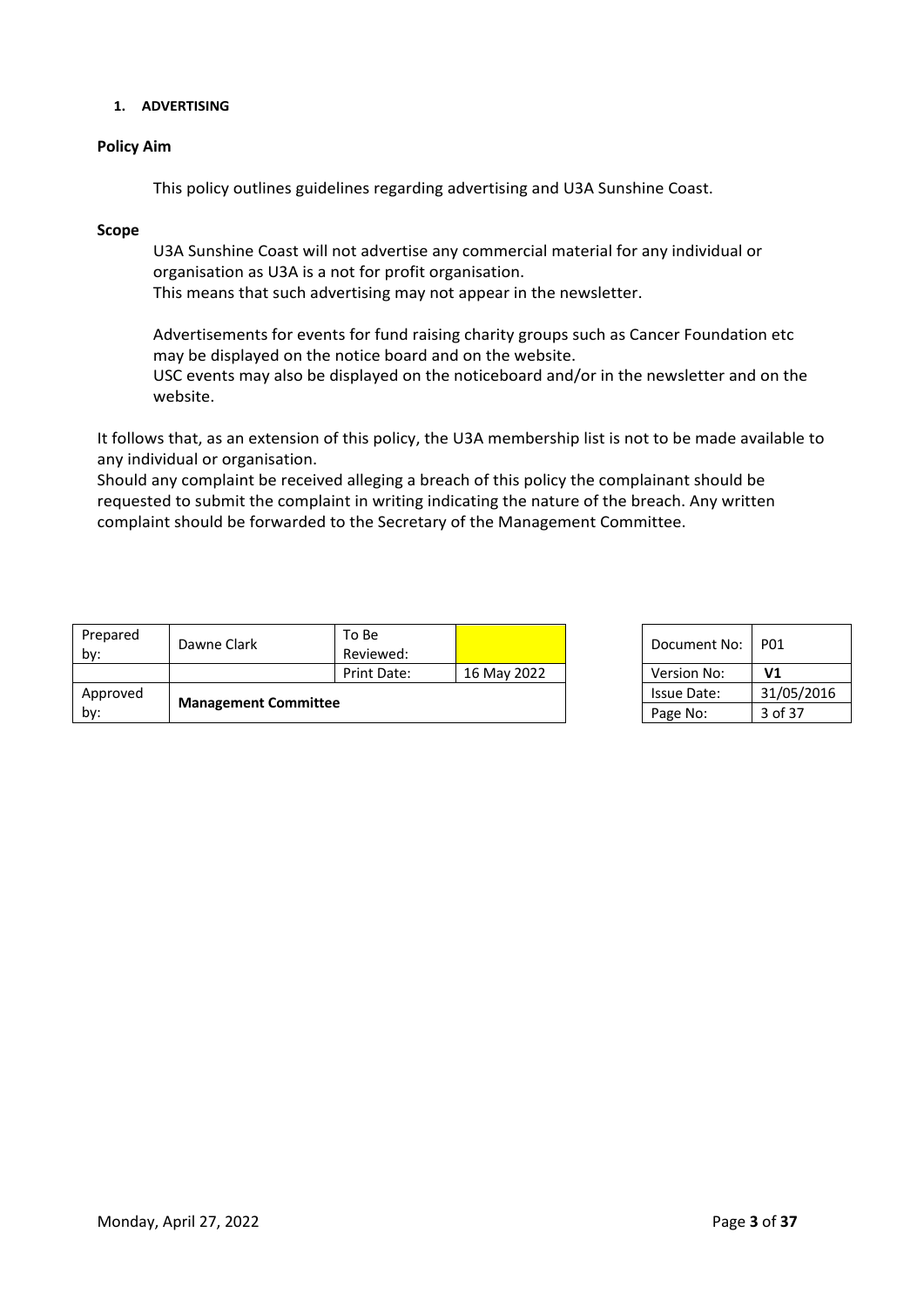# **1. ADVERTISING**

# **Policy Aim**

This policy outlines guidelines regarding advertising and U3A Sunshine Coast.

# **Scope**

U3A Sunshine Coast will not advertise any commercial material for any individual or organisation as U3A is a not for profit organisation.

This means that such advertising may not appear in the newsletter.

Advertisements for events for fund raising charity groups such as Cancer Foundation etc may be displayed on the notice board and on the website.

USC events may also be displayed on the noticeboard and/or in the newsletter and on the website.

It follows that, as an extension of this policy, the U3A membership list is not to be made available to any individual or organisation.

Should any complaint be received alleging a breach of this policy the complainant should be requested to submit the complaint in writing indicating the nature of the breach. Any written complaint should be forwarded to the Secretary of the Management Committee.

| <b>Management Committee</b><br>by: |             | Page No:           | 3 of 37            |              |                |
|------------------------------------|-------------|--------------------|--------------------|--------------|----------------|
| Approved                           |             |                    | <b>Issue Date:</b> | 31/05/2016   |                |
|                                    |             | Print Date:        | 16 May 2022        | Version No:  | V <sub>1</sub> |
| Prepared<br>by:                    | Dawne Clark | To Be<br>Reviewed: |                    | Document No: | <b>P01</b>     |

| Document No: | P01            |
|--------------|----------------|
| Version No:  | V <sub>1</sub> |
| Issue Date:  | 31/05/2016     |
| Page No:     | 3 of 37        |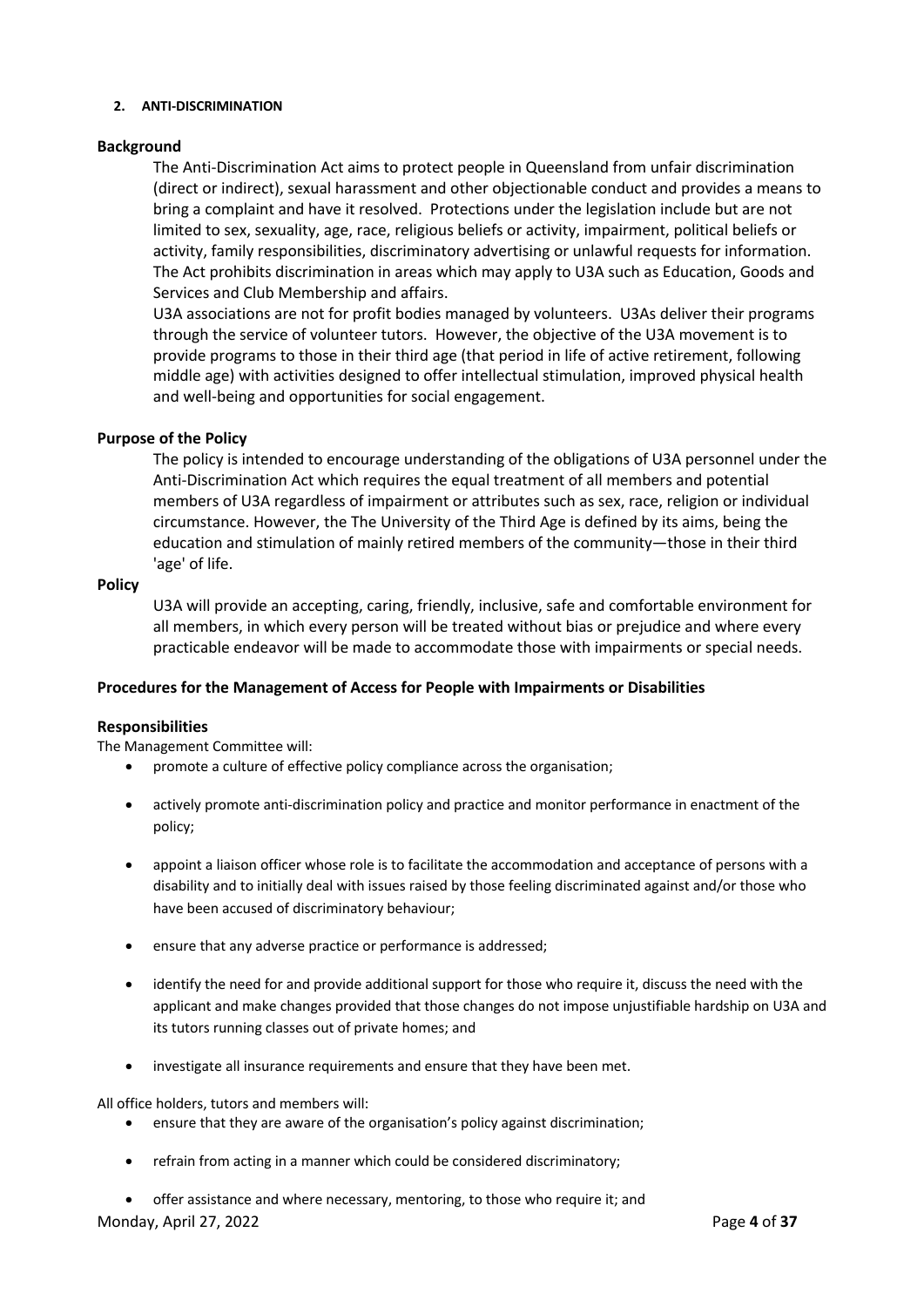#### **2. ANTI-DISCRIMINATION**

# **Background**

The Anti-Discrimination Act aims to protect people in Queensland from unfair discrimination (direct or indirect), sexual harassment and other objectionable conduct and provides a means to bring a complaint and have it resolved. Protections under the legislation include but are not limited to sex, sexuality, age, race, religious beliefs or activity, impairment, political beliefs or activity, family responsibilities, discriminatory advertising or unlawful requests for information. The Act prohibits discrimination in areas which may apply to U3A such as Education, Goods and Services and Club Membership and affairs.

U3A associations are not for profit bodies managed by volunteers. U3As deliver their programs through the service of volunteer tutors. However, the objective of the U3A movement is to provide programs to those in their third age (that period in life of active retirement, following middle age) with activities designed to offer intellectual stimulation, improved physical health and well-being and opportunities for social engagement.

# **Purpose of the Policy**

The policy is intended to encourage understanding of the obligations of U3A personnel under the Anti-Discrimination Act which requires the equal treatment of all members and potential members of U3A regardless of impairment or attributes such as sex, race, religion or individual circumstance. However, the The University of the Third Age is defined by its aims, being the education and stimulation of mainly retired members of the community—those in their third 'age' of life.

# **Policy**

U3A will provide an accepting, caring, friendly, inclusive, safe and comfortable environment for all members, in which every person will be treated without bias or prejudice and where every practicable endeavor will be made to accommodate those with impairments or special needs.

# **Procedures for the Management of Access for People with Impairments or Disabilities**

# **Responsibilities**

The Management Committee will:

- promote a culture of effective policy compliance across the organisation;
- actively promote anti-discrimination policy and practice and monitor performance in enactment of the policy;
- appoint a liaison officer whose role is to facilitate the accommodation and acceptance of persons with a disability and to initially deal with issues raised by those feeling discriminated against and/or those who have been accused of discriminatory behaviour;
- ensure that any adverse practice or performance is addressed;
- identify the need for and provide additional support for those who require it, discuss the need with the applicant and make changes provided that those changes do not impose unjustifiable hardship on U3A and its tutors running classes out of private homes; and
- investigate all insurance requirements and ensure that they have been met.

All office holders, tutors and members will:

- ensure that they are aware of the organisation's policy against discrimination;
- refrain from acting in a manner which could be considered discriminatory;
- Monday, April 27, 2022 Page **4** of **37** • offer assistance and where necessary, mentoring, to those who require it; and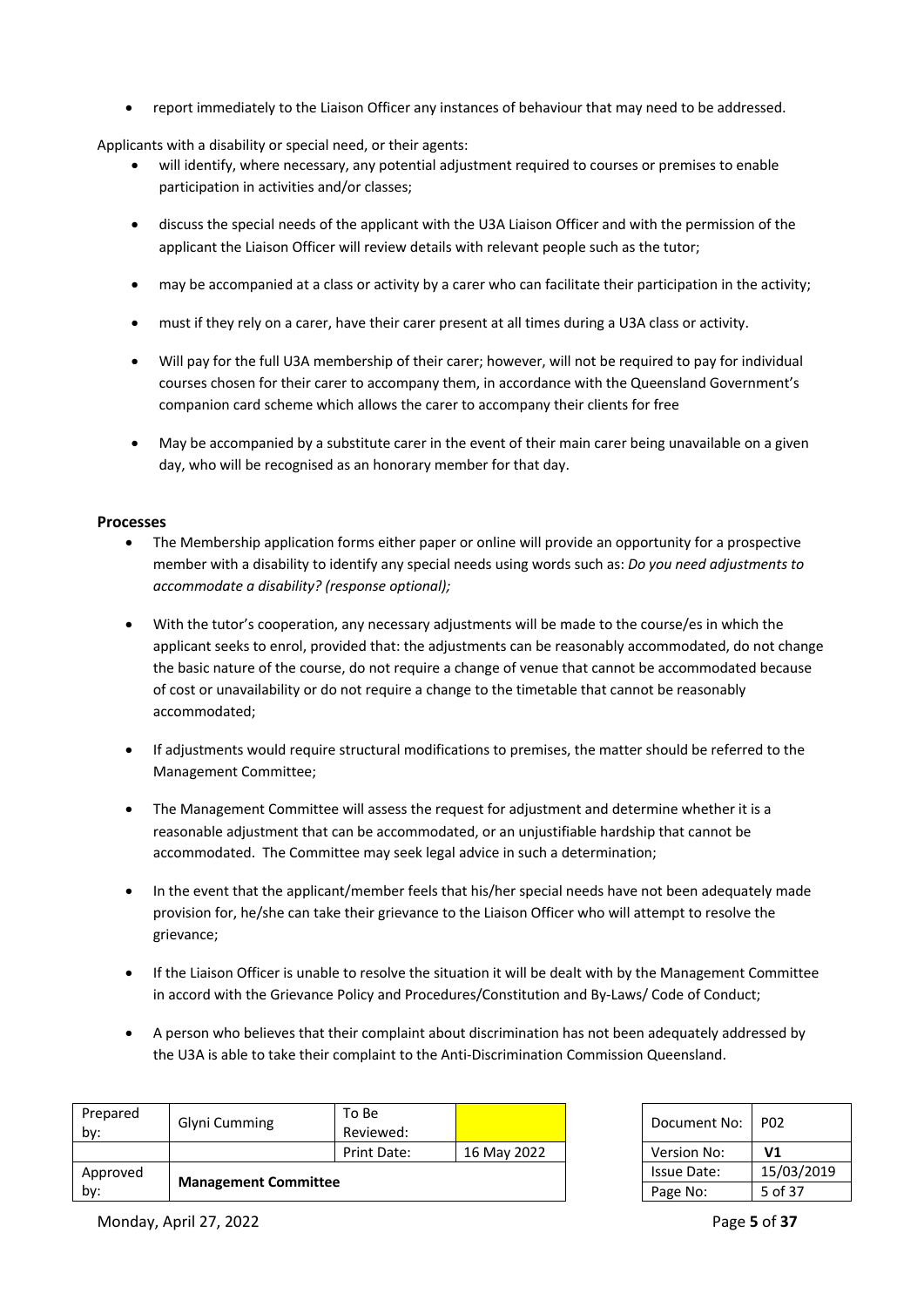• report immediately to the Liaison Officer any instances of behaviour that may need to be addressed.

Applicants with a disability or special need, or their agents:

- will identify, where necessary, any potential adjustment required to courses or premises to enable participation in activities and/or classes;
- discuss the special needs of the applicant with the U3A Liaison Officer and with the permission of the applicant the Liaison Officer will review details with relevant people such as the tutor;
- may be accompanied at a class or activity by a carer who can facilitate their participation in the activity;
- must if they rely on a carer, have their carer present at all times during a U3A class or activity.
- Will pay for the full U3A membership of their carer; however, will not be required to pay for individual courses chosen for their carer to accompany them, in accordance with the Queensland Government's companion card scheme which allows the carer to accompany their clients for free
- May be accompanied by a substitute carer in the event of their main carer being unavailable on a given day, who will be recognised as an honorary member for that day.

#### **Processes**

- The Membership application forms either paper or online will provide an opportunity for a prospective member with a disability to identify any special needs using words such as: *Do you need adjustments to accommodate a disability? (response optional);*
- With the tutor's cooperation, any necessary adjustments will be made to the course/es in which the applicant seeks to enrol, provided that: the adjustments can be reasonably accommodated, do not change the basic nature of the course, do not require a change of venue that cannot be accommodated because of cost or unavailability or do not require a change to the timetable that cannot be reasonably accommodated;
- If adjustments would require structural modifications to premises, the matter should be referred to the Management Committee;
- The Management Committee will assess the request for adjustment and determine whether it is a reasonable adjustment that can be accommodated, or an unjustifiable hardship that cannot be accommodated. The Committee may seek legal advice in such a determination;
- In the event that the applicant/member feels that his/her special needs have not been adequately made provision for, he/she can take their grievance to the Liaison Officer who will attempt to resolve the grievance;
- If the Liaison Officer is unable to resolve the situation it will be dealt with by the Management Committee in accord with the Grievance Policy and Procedures/Constitution and By-Laws/ Code of Conduct;
- A person who believes that their complaint about discrimination has not been adequately addressed by the U3A is able to take their complaint to the Anti-Discrimination Commission Queensland.

| Prepared<br>by:                    | Glyni Cumming | To Be<br>Reviewed: |                    | Document No: | <b>P02</b>     |
|------------------------------------|---------------|--------------------|--------------------|--------------|----------------|
|                                    |               | Print Date:        | 16 May 2022        | Version No:  | V <sub>1</sub> |
| Approved                           |               |                    | <b>Issue Date:</b> | 15/03/2019   |                |
| <b>Management Committee</b><br>by: |               |                    | Page No:           | 5 of 37      |                |

| Document No: | PO <sub>2</sub> |
|--------------|-----------------|
| Version No:  | V1              |
| Issue Date:  | 15/03/2019      |
| Page No:     | 5 of 37         |

Monday, April 27, 2022 Page **5** of **37**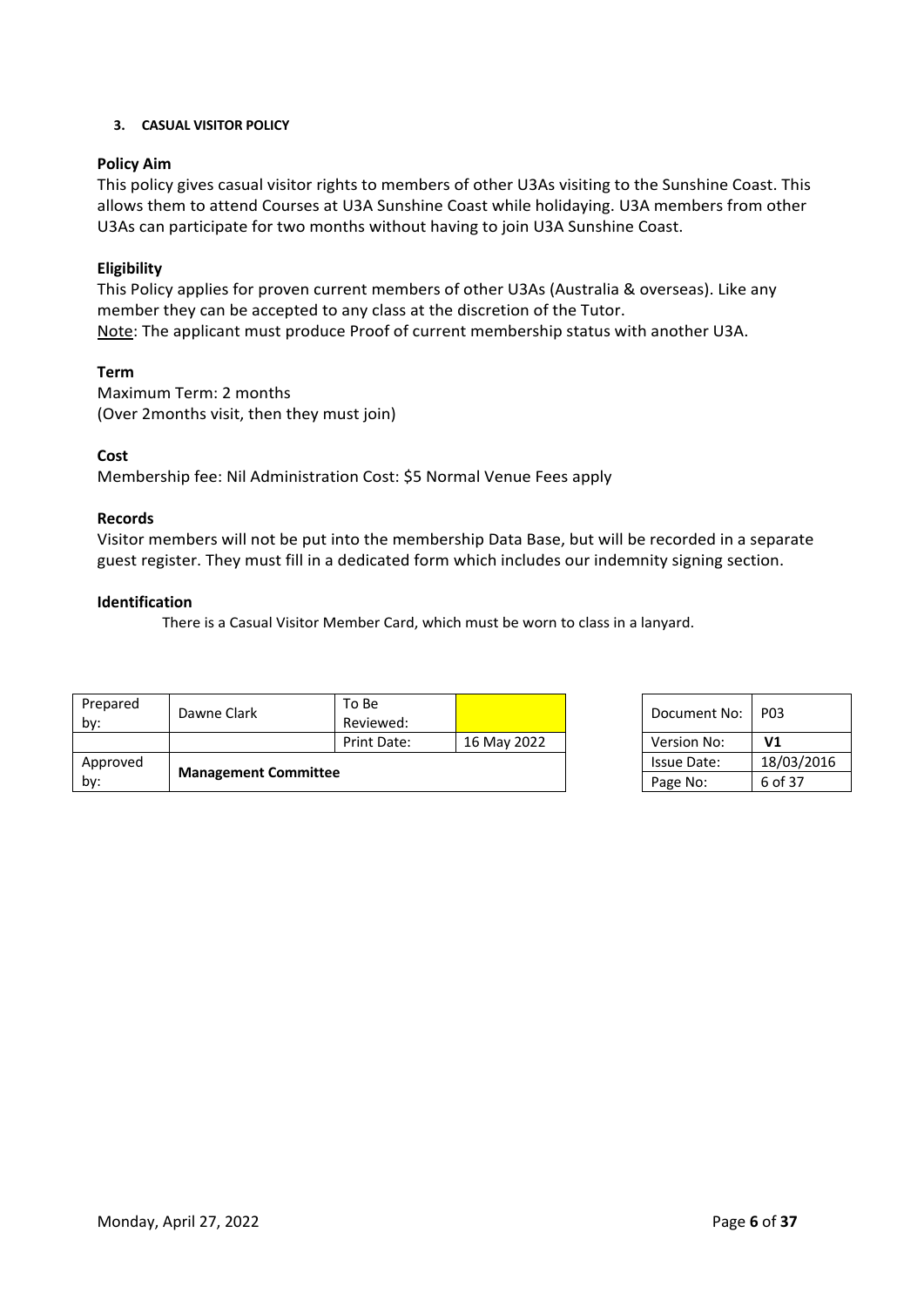# **3. CASUAL VISITOR POLICY**

# **Policy Aim**

This policy gives casual visitor rights to members of other U3As visiting to the Sunshine Coast. This allows them to attend Courses at U3A Sunshine Coast while holidaying. U3A members from other U3As can participate for two months without having to join U3A Sunshine Coast.

# **Eligibility**

This Policy applies for proven current members of other U3As (Australia & overseas). Like any member they can be accepted to any class at the discretion of the Tutor. Note: The applicant must produce Proof of current membership status with another U3A.

# **Term**

Maximum Term: 2 months (Over 2months visit, then they must join)

# **Cost**

Membership fee: Nil Administration Cost: \$5 Normal Venue Fees apply

# **Records**

Visitor members will not be put into the membership Data Base, but will be recorded in a separate guest register. They must fill in a dedicated form which includes our indemnity signing section.

# **Identification**

There is a Casual Visitor Member Card, which must be worn to class in a lanyard.

| Prepared<br>bv: | Dawne Clark                 | To Be<br>Reviewed: |             | Document No:       | <b>P03</b>     |
|-----------------|-----------------------------|--------------------|-------------|--------------------|----------------|
|                 |                             | Print Date:        | 16 May 2022 | Version No:        | V <sub>1</sub> |
| Approved        |                             |                    |             | <b>Issue Date:</b> | 18/03/2016     |
| by:             | <b>Management Committee</b> |                    |             | Page No:           | 6 of 37        |

| Document No: | P <sub>0</sub> 3 |
|--------------|------------------|
| Version No:  | V <sub>1</sub>   |
| Issue Date:  | 18/03/2016       |
| Page No:     | 6 of 37          |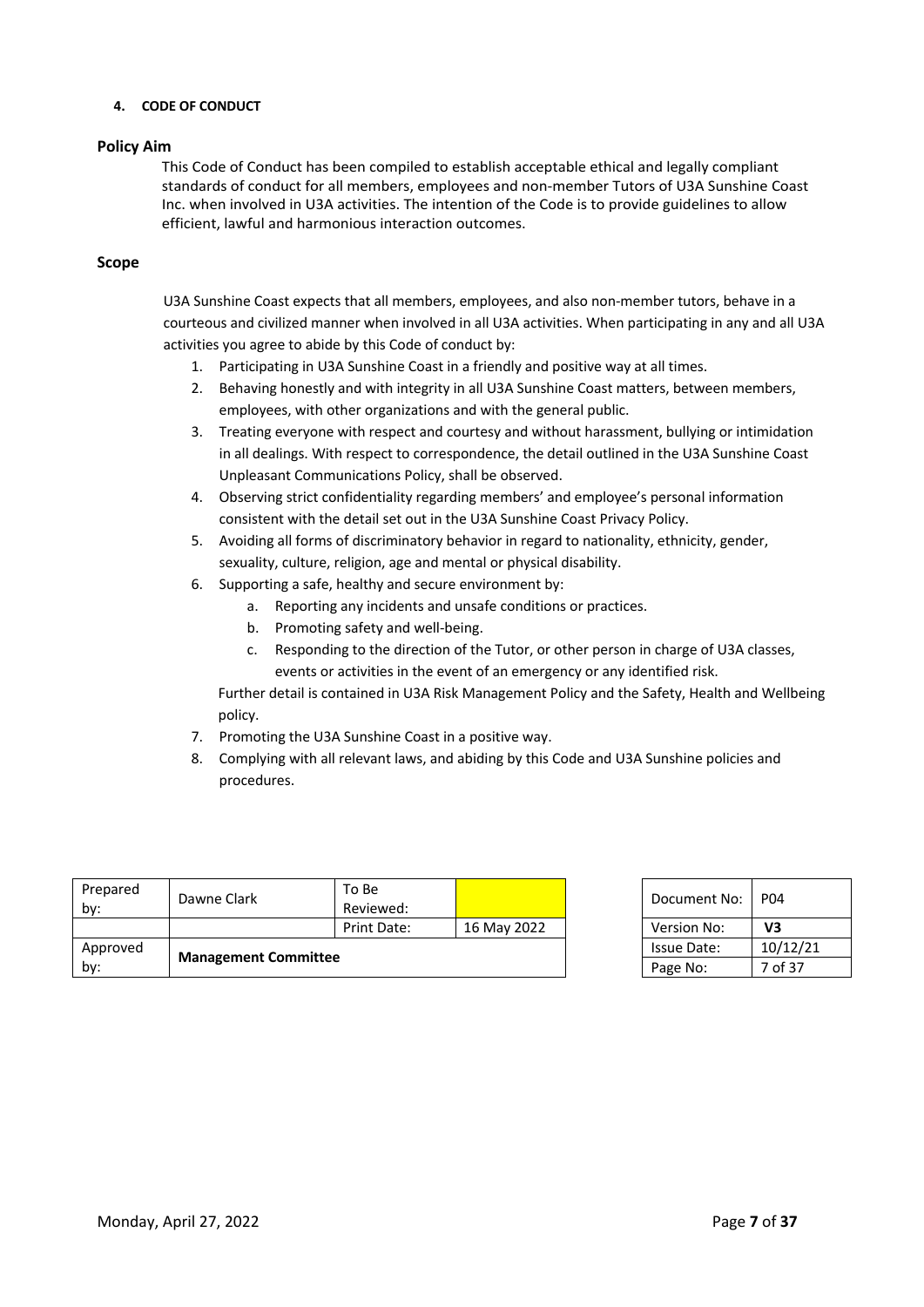#### **4. CODE OF CONDUCT**

# **Policy Aim**

This Code of Conduct has been compiled to establish acceptable ethical and legally compliant standards of conduct for all members, employees and non-member Tutors of U3A Sunshine Coast Inc. when involved in U3A activities. The intention of the Code is to provide guidelines to allow efficient, lawful and harmonious interaction outcomes.

#### **Scope**

U3A Sunshine Coast expects that all members, employees, and also non-member tutors, behave in a courteous and civilized manner when involved in all U3A activities. When participating in any and all U3A activities you agree to abide by this Code of conduct by:

- 1. Participating in U3A Sunshine Coast in a friendly and positive way at all times.
- 2. Behaving honestly and with integrity in all U3A Sunshine Coast matters, between members, employees, with other organizations and with the general public.
- 3. Treating everyone with respect and courtesy and without harassment, bullying or intimidation in all dealings. With respect to correspondence, the detail outlined in the U3A Sunshine Coast Unpleasant Communications Policy, shall be observed.
- 4. Observing strict confidentiality regarding members' and employee's personal information consistent with the detail set out in the U3A Sunshine Coast Privacy Policy.
- 5. Avoiding all forms of discriminatory behavior in regard to nationality, ethnicity, gender, sexuality, culture, religion, age and mental or physical disability.
- 6. Supporting a safe, healthy and secure environment by:
	- a. Reporting any incidents and unsafe conditions or practices.
	- b. Promoting safety and well-being.
	- c. Responding to the direction of the Tutor, or other person in charge of U3A classes, events or activities in the event of an emergency or any identified risk.

Further detail is contained in U3A Risk Management Policy and the Safety, Health and Wellbeing policy.

- 7. Promoting the U3A Sunshine Coast in a positive way.
- 8. Complying with all relevant laws, and abiding by this Code and U3A Sunshine policies and procedures.

| Prepared<br>by: | Dawne Clark                 | To Be<br>Reviewed: |                    | Document No: | <b>P04</b> |
|-----------------|-----------------------------|--------------------|--------------------|--------------|------------|
|                 |                             | Print Date:        | 16 May 2022        | Version No:  | V3         |
| Approved        |                             |                    | <b>Issue Date:</b> | 10/12/21     |            |
| by:             | <b>Management Committee</b> |                    |                    | Page No:     | 7 of 37    |

| Document No:       | P04      |
|--------------------|----------|
| <b>Version No:</b> | V3       |
| Issue Date:        | 10/12/21 |
| Page No:           | 7 of 37  |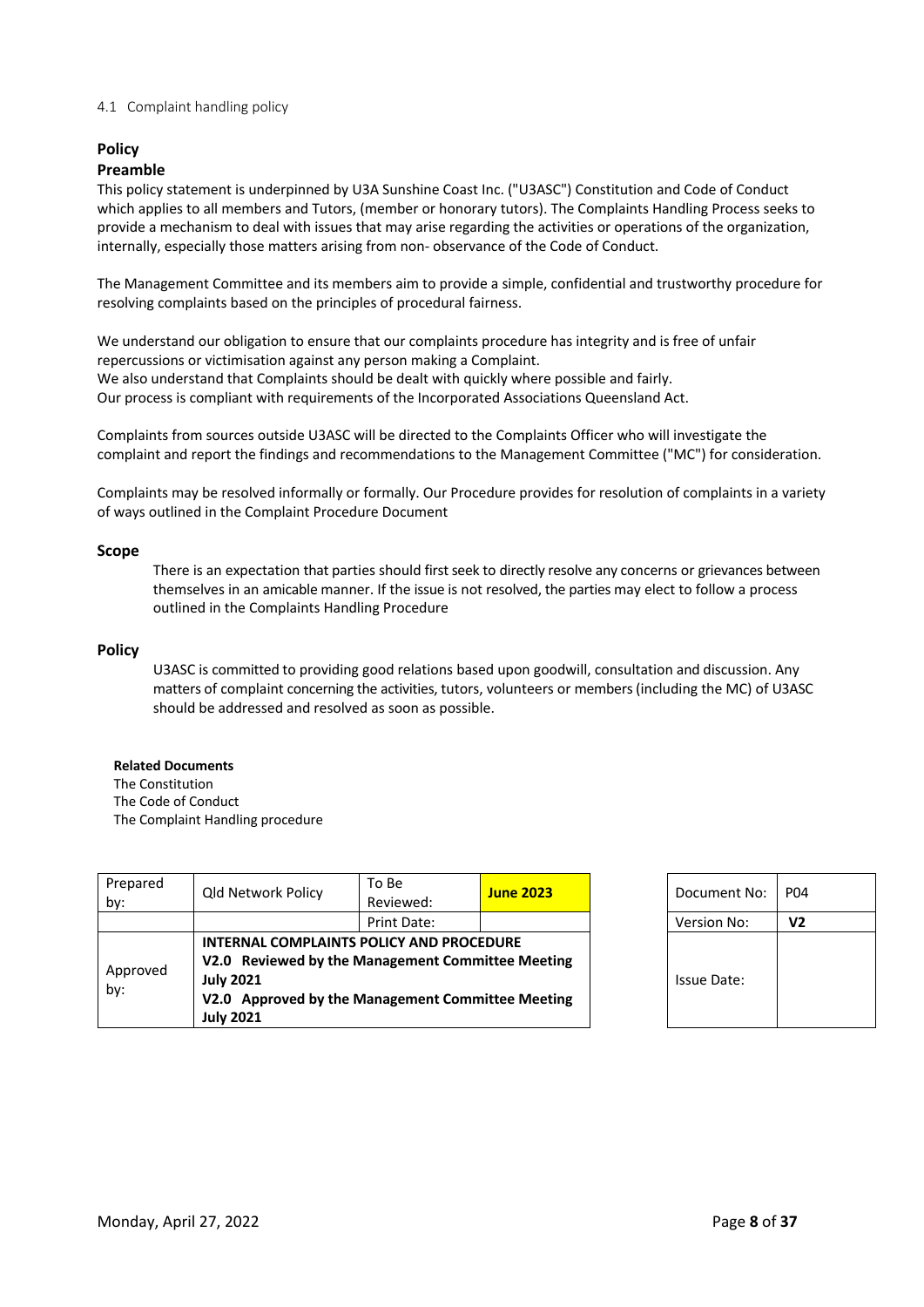#### 4.1 Complaint handling policy

# **Policy**

#### **Preamble**

This policy statement is underpinned by U3A Sunshine Coast Inc. ("U3ASC") Constitution and Code of Conduct which applies to all members and Tutors, (member or honorary tutors). The Complaints Handling Process seeks to provide a mechanism to deal with issues that may arise regarding the activities or operations of the organization, internally, especially those matters arising from non- observance of the Code of Conduct.

The Management Committee and its members aim to provide a simple, confidential and trustworthy procedure for resolving complaints based on the principles of procedural fairness.

We understand our obligation to ensure that our complaints procedure has integrity and is free of unfair repercussions or victimisation against any person making a Complaint. We also understand that Complaints should be dealt with quickly where possible and fairly. Our process is compliant with requirements of the Incorporated Associations Queensland Act.

Complaints from sources outside U3ASC will be directed to the Complaints Officer who will investigate the complaint and report the findings and recommendations to the Management Committee ("MC") for consideration.

Complaints may be resolved informally or formally. Our Procedure provides for resolution of complaints in a variety of ways outlined in the Complaint Procedure Document

#### **Scope**

There is an expectation that parties should first seek to directly resolve any concerns or grievances between themselves in an amicable manner. If the issue is not resolved, the parties may elect to follow a process outlined in the Complaints Handling Procedure

#### **Policy**

U3ASC is committed to providing good relations based upon goodwill, consultation and discussion. Any matters of complaint concerning the activities, tutors, volunteers or members (including the MC) of U3ASC should be addressed and resolved as soon as possible.

#### **Related Documents**

The Constitution The Code of Conduct The Complaint Handling procedure

| Prepared<br>by: | <b>Qld Network Policy</b>                                                                                                                                                                  | To Be<br>Reviewed: | <b>June 2023</b> | Document No: | P <sub>04</sub> |
|-----------------|--------------------------------------------------------------------------------------------------------------------------------------------------------------------------------------------|--------------------|------------------|--------------|-----------------|
|                 |                                                                                                                                                                                            | Print Date:        |                  | Version No:  | V <sub>2</sub>  |
| Approved<br>by: | INTERNAL COMPLAINTS POLICY AND PROCEDURE<br>V2.0 Reviewed by the Management Committee Meeting<br><b>July 2021</b><br>V2.0 Approved by the Management Committee Meeting<br><b>July 2021</b> |                    |                  | Issue Date:  |                 |

| Document No: | P <sub>04</sub> |
|--------------|-----------------|
| Version No:  | V2              |
| Issue Date:  |                 |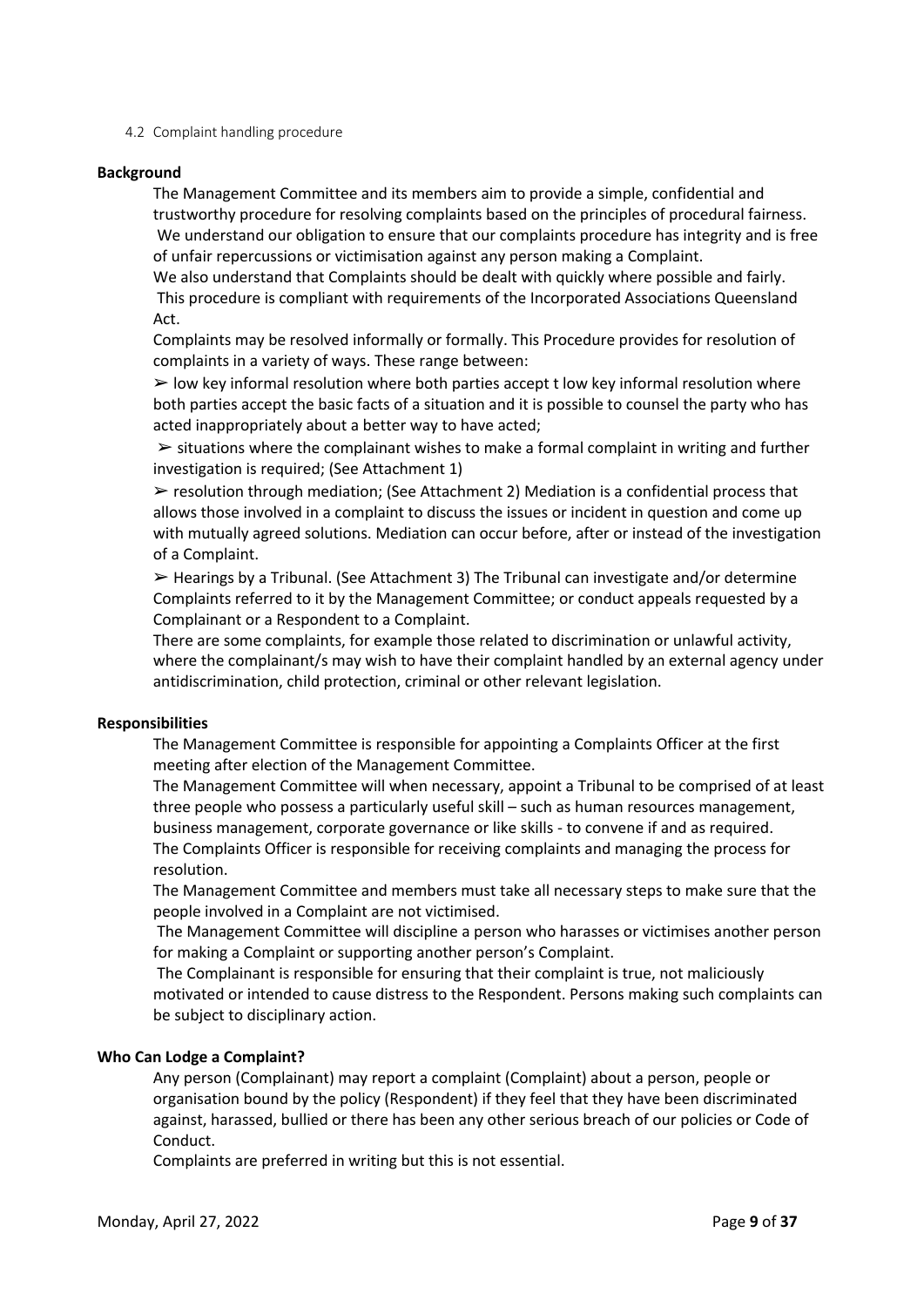4.2 Complaint handling procedure

#### **Background**

The Management Committee and its members aim to provide a simple, confidential and trustworthy procedure for resolving complaints based on the principles of procedural fairness. We understand our obligation to ensure that our complaints procedure has integrity and is free of unfair repercussions or victimisation against any person making a Complaint.

We also understand that Complaints should be dealt with quickly where possible and fairly. This procedure is compliant with requirements of the Incorporated Associations Queensland Act.

Complaints may be resolved informally or formally. This Procedure provides for resolution of complaints in a variety of ways. These range between:

 $\triangleright$  low key informal resolution where both parties accept t low key informal resolution where both parties accept the basic facts of a situation and it is possible to counsel the party who has acted inappropriately about a better way to have acted;

 $\triangleright$  situations where the complainant wishes to make a formal complaint in writing and further investigation is required; (See Attachment 1)

 $\triangleright$  resolution through mediation: (See Attachment 2) Mediation is a confidential process that allows those involved in a complaint to discuss the issues or incident in question and come up with mutually agreed solutions. Mediation can occur before, after or instead of the investigation of a Complaint.

 $\triangleright$  Hearings by a Tribunal. (See Attachment 3) The Tribunal can investigate and/or determine Complaints referred to it by the Management Committee; or conduct appeals requested by a Complainant or a Respondent to a Complaint.

There are some complaints, for example those related to discrimination or unlawful activity, where the complainant/s may wish to have their complaint handled by an external agency under antidiscrimination, child protection, criminal or other relevant legislation.

#### **Responsibilities**

The Management Committee is responsible for appointing a Complaints Officer at the first meeting after election of the Management Committee.

The Management Committee will when necessary, appoint a Tribunal to be comprised of at least three people who possess a particularly useful skill – such as human resources management, business management, corporate governance or like skills - to convene if and as required. The Complaints Officer is responsible for receiving complaints and managing the process for resolution.

The Management Committee and members must take all necessary steps to make sure that the people involved in a Complaint are not victimised.

The Management Committee will discipline a person who harasses or victimises another person for making a Complaint or supporting another person's Complaint.

The Complainant is responsible for ensuring that their complaint is true, not maliciously motivated or intended to cause distress to the Respondent. Persons making such complaints can be subject to disciplinary action.

#### **Who Can Lodge a Complaint?**

Any person (Complainant) may report a complaint (Complaint) about a person, people or organisation bound by the policy (Respondent) if they feel that they have been discriminated against, harassed, bullied or there has been any other serious breach of our policies or Code of Conduct.

Complaints are preferred in writing but this is not essential.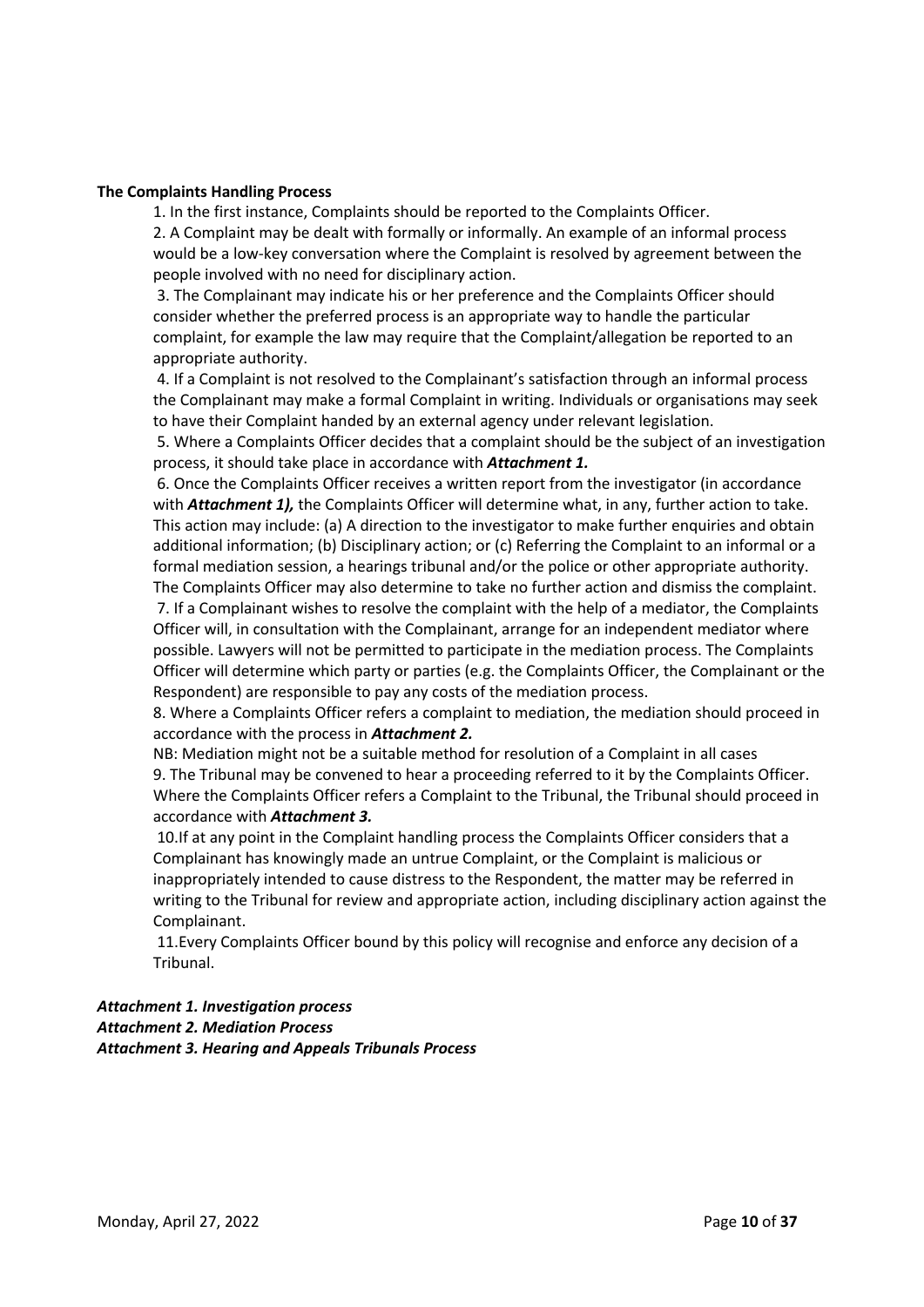#### **The Complaints Handling Process**

1. In the first instance, Complaints should be reported to the Complaints Officer.

2. A Complaint may be dealt with formally or informally. An example of an informal process would be a low-key conversation where the Complaint is resolved by agreement between the people involved with no need for disciplinary action.

3. The Complainant may indicate his or her preference and the Complaints Officer should consider whether the preferred process is an appropriate way to handle the particular complaint, for example the law may require that the Complaint/allegation be reported to an appropriate authority.

4. If a Complaint is not resolved to the Complainant's satisfaction through an informal process the Complainant may make a formal Complaint in writing. Individuals or organisations may seek to have their Complaint handed by an external agency under relevant legislation.

5. Where a Complaints Officer decides that a complaint should be the subject of an investigation process, it should take place in accordance with *Attachment 1.*

6. Once the Complaints Officer receives a written report from the investigator (in accordance with *Attachment 1),* the Complaints Officer will determine what, in any, further action to take. This action may include: (a) A direction to the investigator to make further enquiries and obtain additional information; (b) Disciplinary action; or (c) Referring the Complaint to an informal or a formal mediation session, a hearings tribunal and/or the police or other appropriate authority. The Complaints Officer may also determine to take no further action and dismiss the complaint.

7. If a Complainant wishes to resolve the complaint with the help of a mediator, the Complaints Officer will, in consultation with the Complainant, arrange for an independent mediator where possible. Lawyers will not be permitted to participate in the mediation process. The Complaints Officer will determine which party or parties (e.g. the Complaints Officer, the Complainant or the Respondent) are responsible to pay any costs of the mediation process.

8. Where a Complaints Officer refers a complaint to mediation, the mediation should proceed in accordance with the process in *Attachment 2.* 

NB: Mediation might not be a suitable method for resolution of a Complaint in all cases 9. The Tribunal may be convened to hear a proceeding referred to it by the Complaints Officer. Where the Complaints Officer refers a Complaint to the Tribunal, the Tribunal should proceed in accordance with *Attachment 3.*

10.If at any point in the Complaint handling process the Complaints Officer considers that a Complainant has knowingly made an untrue Complaint, or the Complaint is malicious or inappropriately intended to cause distress to the Respondent, the matter may be referred in writing to the Tribunal for review and appropriate action, including disciplinary action against the Complainant.

11.Every Complaints Officer bound by this policy will recognise and enforce any decision of a Tribunal.

# *Attachment 1. Investigation process Attachment 2. Mediation Process Attachment 3. Hearing and Appeals Tribunals Process*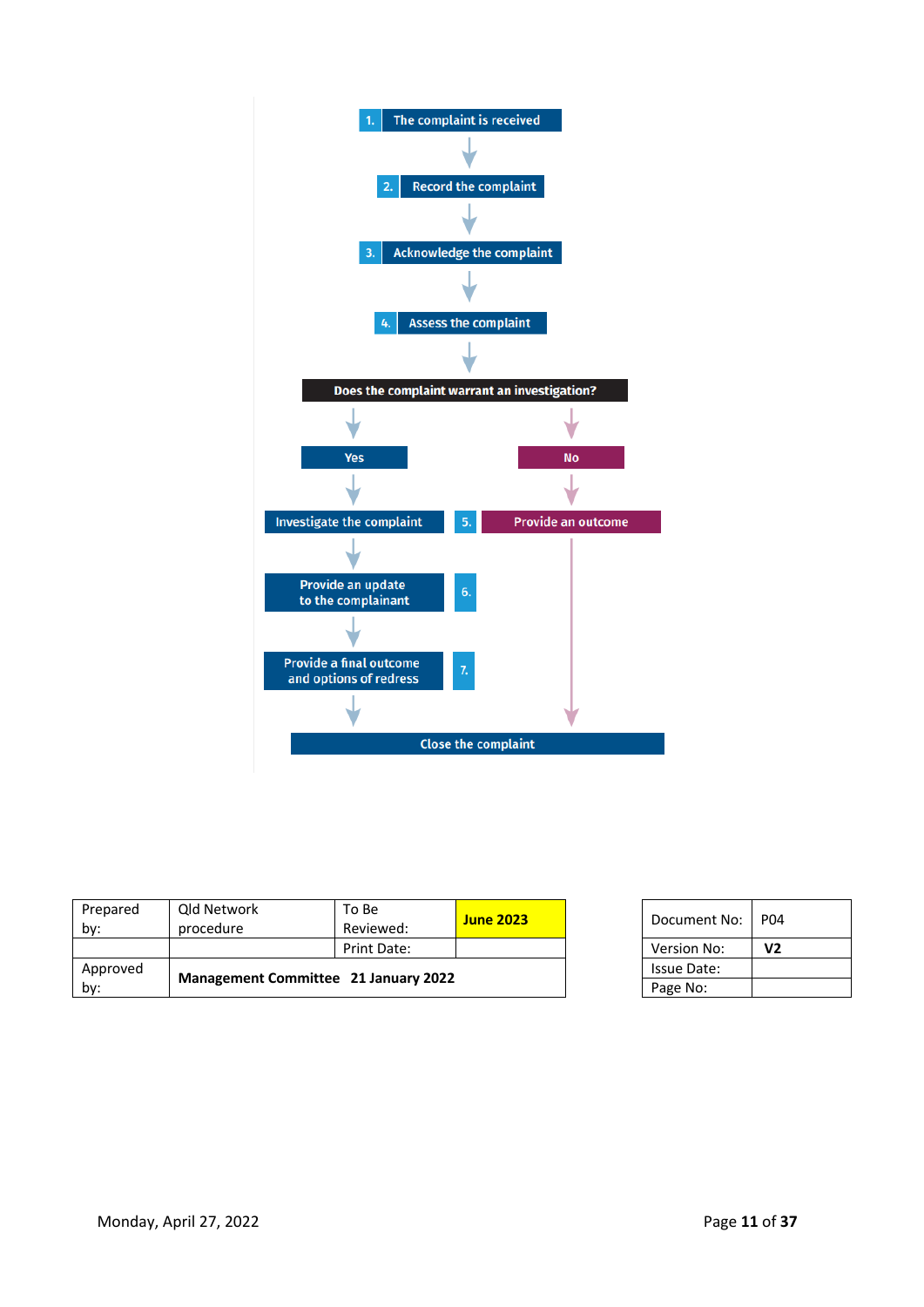

| Approved<br>by: | <b>Management Committee 21 January 2022</b> |             |                  | Issue Date:<br>Page No: |                 |
|-----------------|---------------------------------------------|-------------|------------------|-------------------------|-----------------|
|                 |                                             | Print Date: |                  | Version No:             | V <sub>2</sub>  |
| by:             | procedure                                   | Reviewed:   | <b>June 2023</b> | Document No:            | P <sub>04</sub> |
| Prepared        | Qld Network                                 | To Be       |                  |                         |                 |

| Document No: | PO4 |
|--------------|-----|
| Version No:  | V2  |
| Issue Date:  |     |
| Page No:     |     |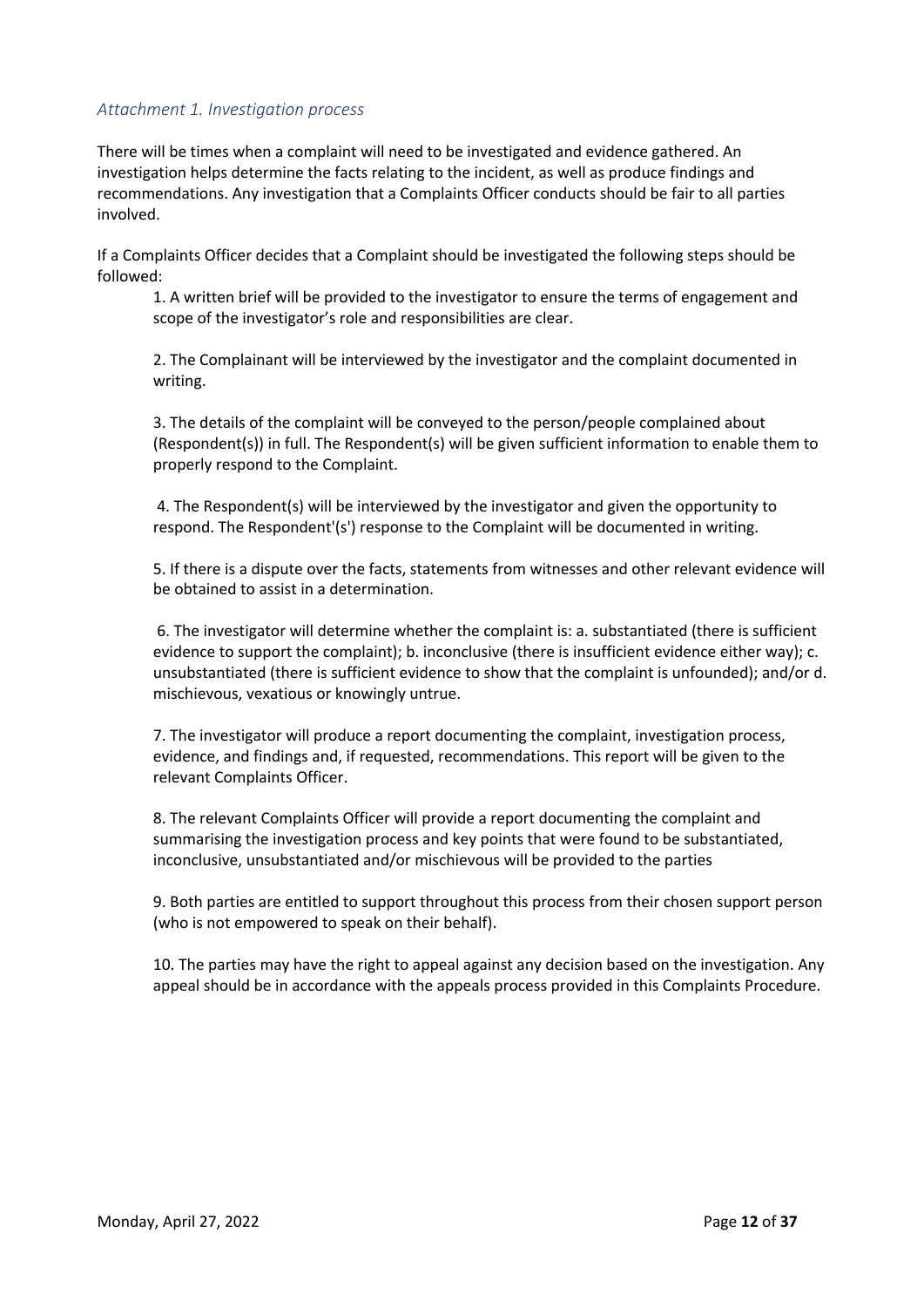# *Attachment 1. Investigation process*

There will be times when a complaint will need to be investigated and evidence gathered. An investigation helps determine the facts relating to the incident, as well as produce findings and recommendations. Any investigation that a Complaints Officer conducts should be fair to all parties involved.

If a Complaints Officer decides that a Complaint should be investigated the following steps should be followed:

1. A written brief will be provided to the investigator to ensure the terms of engagement and scope of the investigator's role and responsibilities are clear.

2. The Complainant will be interviewed by the investigator and the complaint documented in writing.

3. The details of the complaint will be conveyed to the person/people complained about (Respondent(s)) in full. The Respondent(s) will be given sufficient information to enable them to properly respond to the Complaint.

4. The Respondent(s) will be interviewed by the investigator and given the opportunity to respond. The Respondent'(s') response to the Complaint will be documented in writing.

5. If there is a dispute over the facts, statements from witnesses and other relevant evidence will be obtained to assist in a determination.

6. The investigator will determine whether the complaint is: a. substantiated (there is sufficient evidence to support the complaint); b. inconclusive (there is insufficient evidence either way); c. unsubstantiated (there is sufficient evidence to show that the complaint is unfounded); and/or d. mischievous, vexatious or knowingly untrue.

7. The investigator will produce a report documenting the complaint, investigation process, evidence, and findings and, if requested, recommendations. This report will be given to the relevant Complaints Officer.

8. The relevant Complaints Officer will provide a report documenting the complaint and summarising the investigation process and key points that were found to be substantiated, inconclusive, unsubstantiated and/or mischievous will be provided to the parties

9. Both parties are entitled to support throughout this process from their chosen support person (who is not empowered to speak on their behalf).

10. The parties may have the right to appeal against any decision based on the investigation. Any appeal should be in accordance with the appeals process provided in this Complaints Procedure.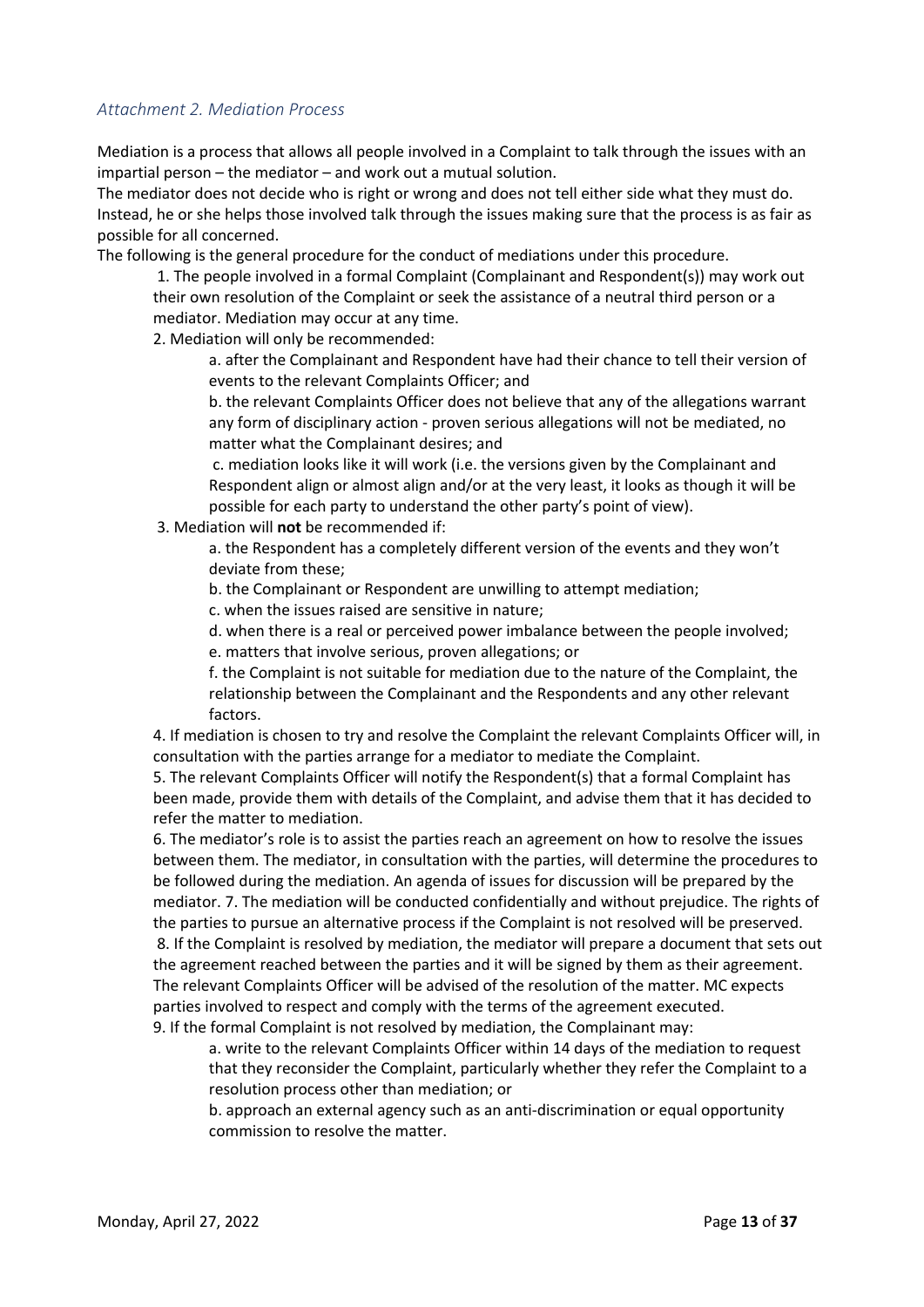# *Attachment 2. Mediation Process*

Mediation is a process that allows all people involved in a Complaint to talk through the issues with an impartial person – the mediator – and work out a mutual solution.

The mediator does not decide who is right or wrong and does not tell either side what they must do. Instead, he or she helps those involved talk through the issues making sure that the process is as fair as possible for all concerned.

The following is the general procedure for the conduct of mediations under this procedure.

1. The people involved in a formal Complaint (Complainant and Respondent(s)) may work out their own resolution of the Complaint or seek the assistance of a neutral third person or a mediator. Mediation may occur at any time.

2. Mediation will only be recommended:

a. after the Complainant and Respondent have had their chance to tell their version of events to the relevant Complaints Officer; and

b. the relevant Complaints Officer does not believe that any of the allegations warrant any form of disciplinary action - proven serious allegations will not be mediated, no matter what the Complainant desires; and

c. mediation looks like it will work (i.e. the versions given by the Complainant and Respondent align or almost align and/or at the very least, it looks as though it will be possible for each party to understand the other party's point of view).

3. Mediation will **not** be recommended if:

a. the Respondent has a completely different version of the events and they won't deviate from these;

b. the Complainant or Respondent are unwilling to attempt mediation;

c. when the issues raised are sensitive in nature;

d. when there is a real or perceived power imbalance between the people involved;

e. matters that involve serious, proven allegations; or

f. the Complaint is not suitable for mediation due to the nature of the Complaint, the relationship between the Complainant and the Respondents and any other relevant factors.

4. If mediation is chosen to try and resolve the Complaint the relevant Complaints Officer will, in consultation with the parties arrange for a mediator to mediate the Complaint.

5. The relevant Complaints Officer will notify the Respondent(s) that a formal Complaint has been made, provide them with details of the Complaint, and advise them that it has decided to refer the matter to mediation.

6. The mediator's role is to assist the parties reach an agreement on how to resolve the issues between them. The mediator, in consultation with the parties, will determine the procedures to be followed during the mediation. An agenda of issues for discussion will be prepared by the mediator. 7. The mediation will be conducted confidentially and without prejudice. The rights of the parties to pursue an alternative process if the Complaint is not resolved will be preserved. 8. If the Complaint is resolved by mediation, the mediator will prepare a document that sets out the agreement reached between the parties and it will be signed by them as their agreement. The relevant Complaints Officer will be advised of the resolution of the matter. MC expects parties involved to respect and comply with the terms of the agreement executed. 9. If the formal Complaint is not resolved by mediation, the Complainant may:

a. write to the relevant Complaints Officer within 14 days of the mediation to request that they reconsider the Complaint, particularly whether they refer the Complaint to a resolution process other than mediation; or

b. approach an external agency such as an anti-discrimination or equal opportunity commission to resolve the matter.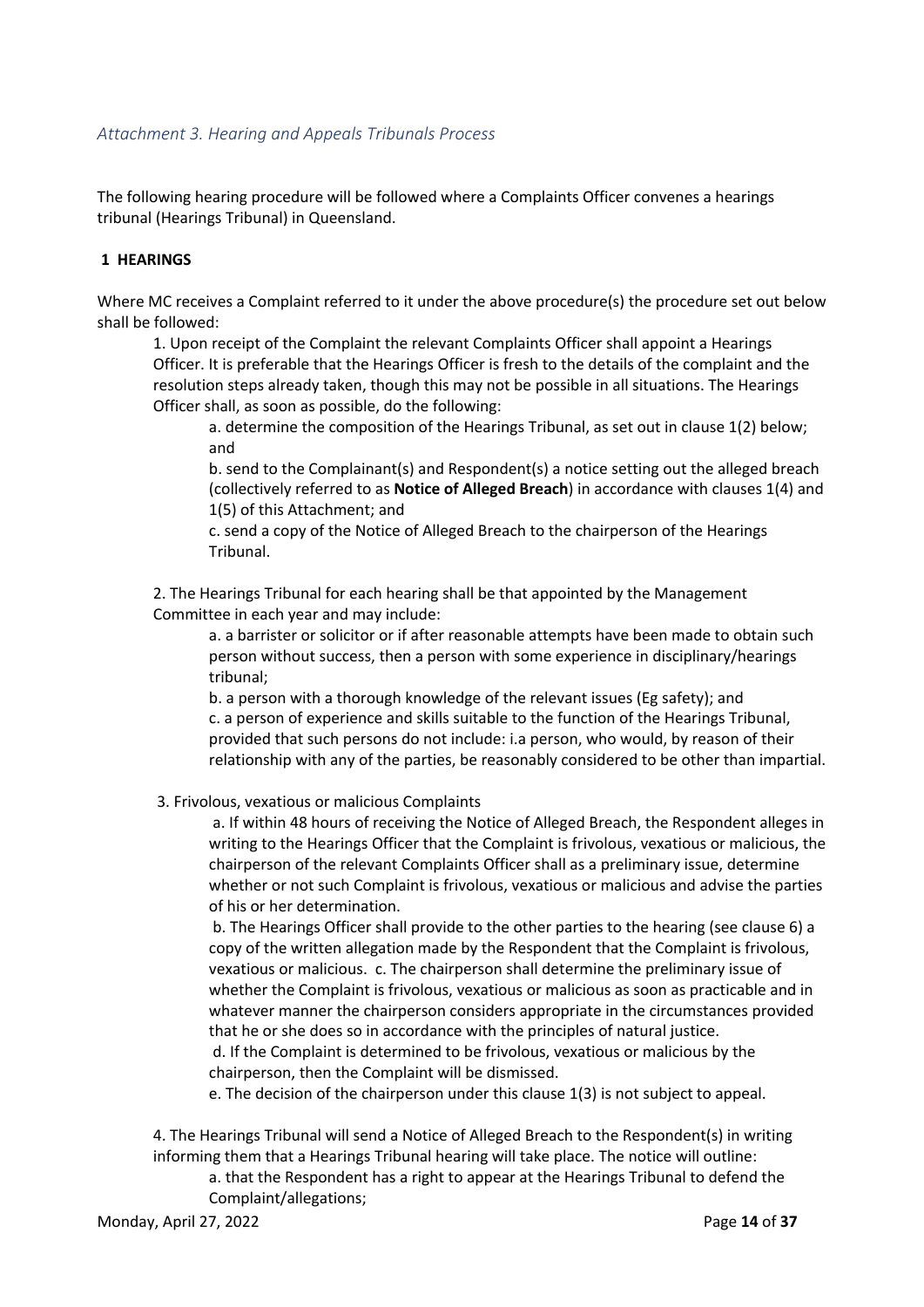# *Attachment 3. Hearing and Appeals Tribunals Process*

The following hearing procedure will be followed where a Complaints Officer convenes a hearings tribunal (Hearings Tribunal) in Queensland.

# **1 HEARINGS**

Where MC receives a Complaint referred to it under the above procedure(s) the procedure set out below shall be followed:

1. Upon receipt of the Complaint the relevant Complaints Officer shall appoint a Hearings Officer. It is preferable that the Hearings Officer is fresh to the details of the complaint and the resolution steps already taken, though this may not be possible in all situations. The Hearings Officer shall, as soon as possible, do the following:

a. determine the composition of the Hearings Tribunal, as set out in clause 1(2) below; and

b. send to the Complainant(s) and Respondent(s) a notice setting out the alleged breach (collectively referred to as **Notice of Alleged Breach**) in accordance with clauses 1(4) and 1(5) of this Attachment; and

c. send a copy of the Notice of Alleged Breach to the chairperson of the Hearings Tribunal.

2. The Hearings Tribunal for each hearing shall be that appointed by the Management Committee in each year and may include:

a. a barrister or solicitor or if after reasonable attempts have been made to obtain such person without success, then a person with some experience in disciplinary/hearings tribunal;

b. a person with a thorough knowledge of the relevant issues (Eg safety); and c. a person of experience and skills suitable to the function of the Hearings Tribunal, provided that such persons do not include: i.a person, who would, by reason of their relationship with any of the parties, be reasonably considered to be other than impartial.

3. Frivolous, vexatious or malicious Complaints

a. If within 48 hours of receiving the Notice of Alleged Breach, the Respondent alleges in writing to the Hearings Officer that the Complaint is frivolous, vexatious or malicious, the chairperson of the relevant Complaints Officer shall as a preliminary issue, determine whether or not such Complaint is frivolous, vexatious or malicious and advise the parties of his or her determination.

b. The Hearings Officer shall provide to the other parties to the hearing (see clause 6) a copy of the written allegation made by the Respondent that the Complaint is frivolous, vexatious or malicious. c. The chairperson shall determine the preliminary issue of whether the Complaint is frivolous, vexatious or malicious as soon as practicable and in whatever manner the chairperson considers appropriate in the circumstances provided that he or she does so in accordance with the principles of natural justice.

d. If the Complaint is determined to be frivolous, vexatious or malicious by the chairperson, then the Complaint will be dismissed.

e. The decision of the chairperson under this clause 1(3) is not subject to appeal.

4. The Hearings Tribunal will send a Notice of Alleged Breach to the Respondent(s) in writing informing them that a Hearings Tribunal hearing will take place. The notice will outline:

a. that the Respondent has a right to appear at the Hearings Tribunal to defend the Complaint/allegations;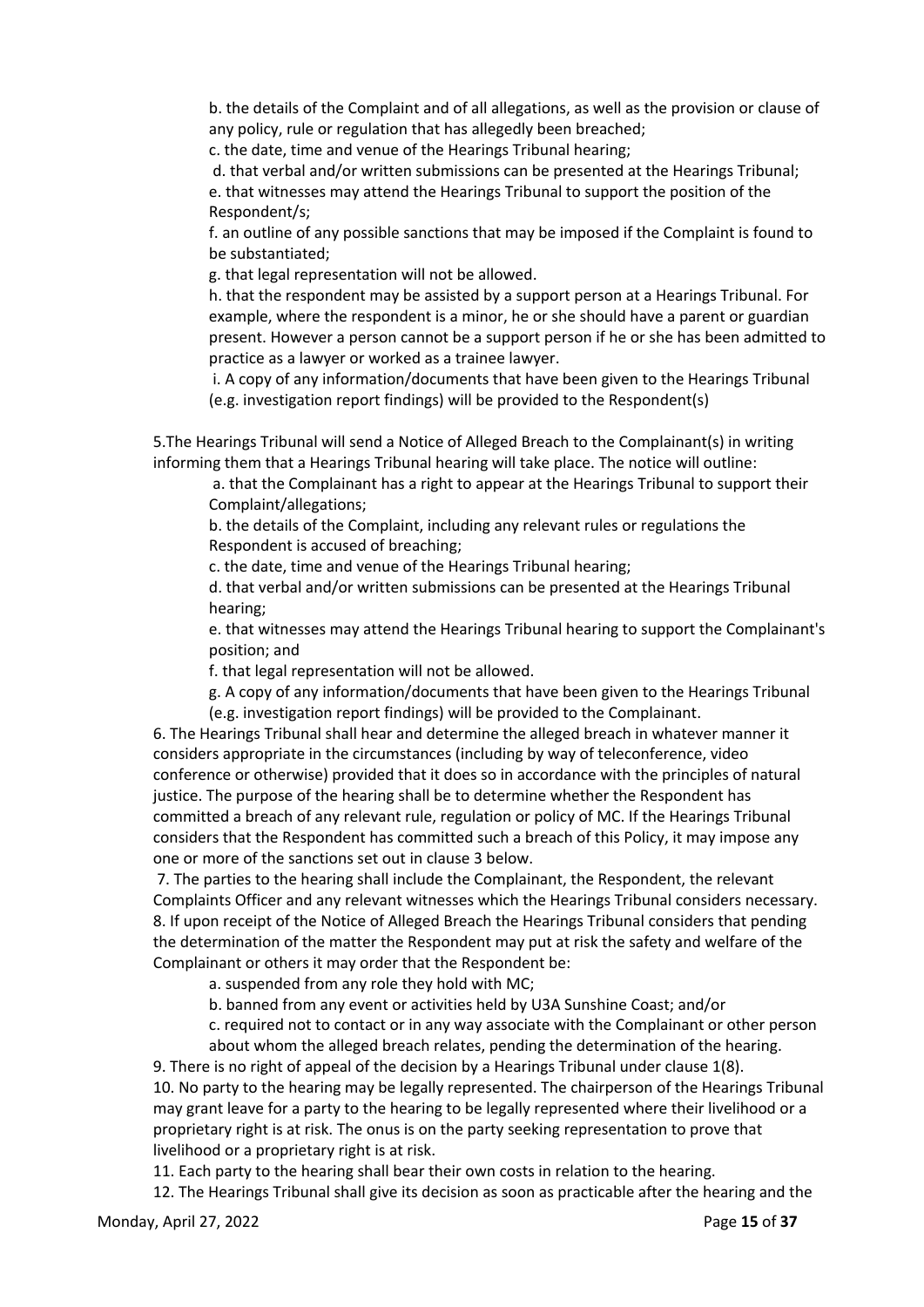b. the details of the Complaint and of all allegations, as well as the provision or clause of any policy, rule or regulation that has allegedly been breached;

c. the date, time and venue of the Hearings Tribunal hearing;

d. that verbal and/or written submissions can be presented at the Hearings Tribunal; e. that witnesses may attend the Hearings Tribunal to support the position of the Respondent/s;

f. an outline of any possible sanctions that may be imposed if the Complaint is found to be substantiated;

g. that legal representation will not be allowed.

h. that the respondent may be assisted by a support person at a Hearings Tribunal. For example, where the respondent is a minor, he or she should have a parent or guardian present. However a person cannot be a support person if he or she has been admitted to practice as a lawyer or worked as a trainee lawyer.

i. A copy of any information/documents that have been given to the Hearings Tribunal (e.g. investigation report findings) will be provided to the Respondent(s)

5.The Hearings Tribunal will send a Notice of Alleged Breach to the Complainant(s) in writing informing them that a Hearings Tribunal hearing will take place. The notice will outline:

a. that the Complainant has a right to appear at the Hearings Tribunal to support their Complaint/allegations;

b. the details of the Complaint, including any relevant rules or regulations the Respondent is accused of breaching;

c. the date, time and venue of the Hearings Tribunal hearing;

d. that verbal and/or written submissions can be presented at the Hearings Tribunal hearing;

e. that witnesses may attend the Hearings Tribunal hearing to support the Complainant's position; and

f. that legal representation will not be allowed.

g. A copy of any information/documents that have been given to the Hearings Tribunal (e.g. investigation report findings) will be provided to the Complainant.

6. The Hearings Tribunal shall hear and determine the alleged breach in whatever manner it considers appropriate in the circumstances (including by way of teleconference, video conference or otherwise) provided that it does so in accordance with the principles of natural justice. The purpose of the hearing shall be to determine whether the Respondent has committed a breach of any relevant rule, regulation or policy of MC. If the Hearings Tribunal considers that the Respondent has committed such a breach of this Policy, it may impose any one or more of the sanctions set out in clause 3 below.

7. The parties to the hearing shall include the Complainant, the Respondent, the relevant Complaints Officer and any relevant witnesses which the Hearings Tribunal considers necessary. 8. If upon receipt of the Notice of Alleged Breach the Hearings Tribunal considers that pending the determination of the matter the Respondent may put at risk the safety and welfare of the Complainant or others it may order that the Respondent be:

a. suspended from any role they hold with MC;

b. banned from any event or activities held by U3A Sunshine Coast; and/or

c. required not to contact or in any way associate with the Complainant or other person about whom the alleged breach relates, pending the determination of the hearing.

9. There is no right of appeal of the decision by a Hearings Tribunal under clause 1(8). 10. No party to the hearing may be legally represented. The chairperson of the Hearings Tribunal may grant leave for a party to the hearing to be legally represented where their livelihood or a proprietary right is at risk. The onus is on the party seeking representation to prove that livelihood or a proprietary right is at risk.

11. Each party to the hearing shall bear their own costs in relation to the hearing.

12. The Hearings Tribunal shall give its decision as soon as practicable after the hearing and the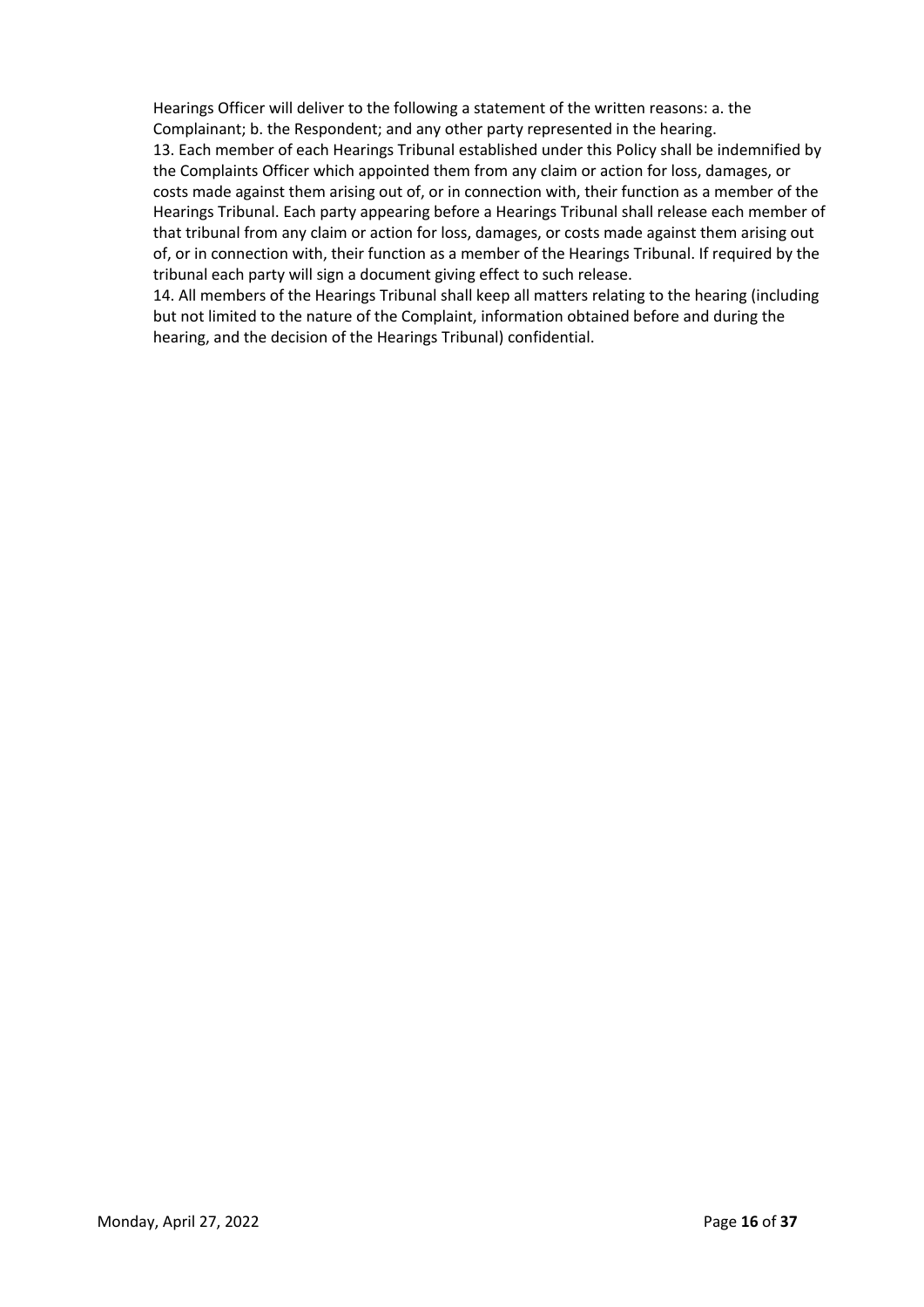Hearings Officer will deliver to the following a statement of the written reasons: a. the Complainant; b. the Respondent; and any other party represented in the hearing. 13. Each member of each Hearings Tribunal established under this Policy shall be indemnified by the Complaints Officer which appointed them from any claim or action for loss, damages, or costs made against them arising out of, or in connection with, their function as a member of the Hearings Tribunal. Each party appearing before a Hearings Tribunal shall release each member of that tribunal from any claim or action for loss, damages, or costs made against them arising out of, or in connection with, their function as a member of the Hearings Tribunal. If required by the tribunal each party will sign a document giving effect to such release.

14. All members of the Hearings Tribunal shall keep all matters relating to the hearing (including but not limited to the nature of the Complaint, information obtained before and during the hearing, and the decision of the Hearings Tribunal) confidential.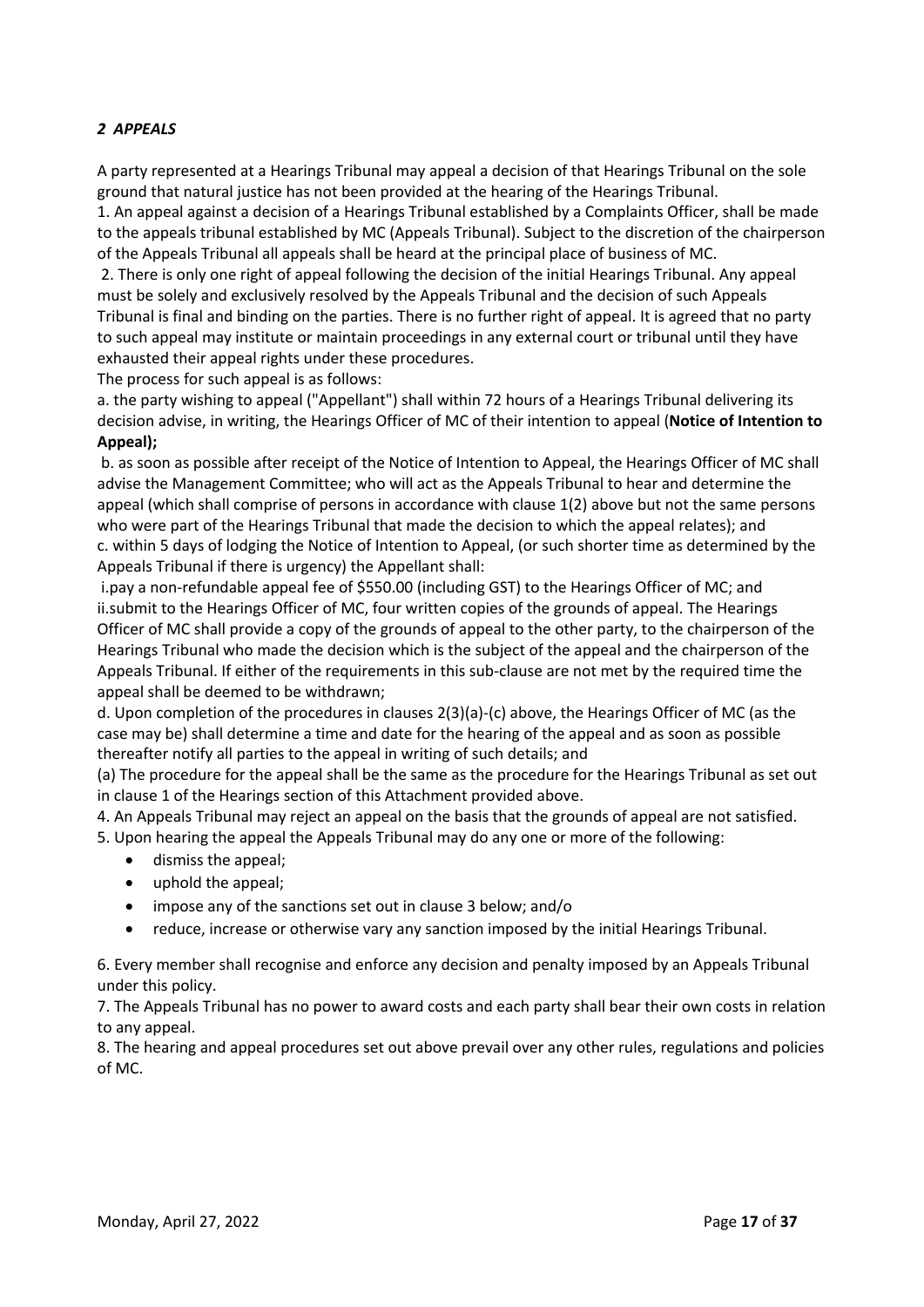# *2 APPEALS*

A party represented at a Hearings Tribunal may appeal a decision of that Hearings Tribunal on the sole ground that natural justice has not been provided at the hearing of the Hearings Tribunal.

1. An appeal against a decision of a Hearings Tribunal established by a Complaints Officer, shall be made to the appeals tribunal established by MC (Appeals Tribunal). Subject to the discretion of the chairperson of the Appeals Tribunal all appeals shall be heard at the principal place of business of MC.

2. There is only one right of appeal following the decision of the initial Hearings Tribunal. Any appeal must be solely and exclusively resolved by the Appeals Tribunal and the decision of such Appeals Tribunal is final and binding on the parties. There is no further right of appeal. It is agreed that no party to such appeal may institute or maintain proceedings in any external court or tribunal until they have exhausted their appeal rights under these procedures.

The process for such appeal is as follows:

a. the party wishing to appeal ("Appellant") shall within 72 hours of a Hearings Tribunal delivering its decision advise, in writing, the Hearings Officer of MC of their intention to appeal (**Notice of Intention to Appeal);**

b. as soon as possible after receipt of the Notice of Intention to Appeal, the Hearings Officer of MC shall advise the Management Committee; who will act as the Appeals Tribunal to hear and determine the appeal (which shall comprise of persons in accordance with clause 1(2) above but not the same persons who were part of the Hearings Tribunal that made the decision to which the appeal relates); and c. within 5 days of lodging the Notice of Intention to Appeal, (or such shorter time as determined by the Appeals Tribunal if there is urgency) the Appellant shall:

i.pay a non-refundable appeal fee of \$550.00 (including GST) to the Hearings Officer of MC; and ii.submit to the Hearings Officer of MC, four written copies of the grounds of appeal. The Hearings Officer of MC shall provide a copy of the grounds of appeal to the other party, to the chairperson of the Hearings Tribunal who made the decision which is the subject of the appeal and the chairperson of the Appeals Tribunal. If either of the requirements in this sub-clause are not met by the required time the appeal shall be deemed to be withdrawn;

d. Upon completion of the procedures in clauses 2(3)(a)-(c) above, the Hearings Officer of MC (as the case may be) shall determine a time and date for the hearing of the appeal and as soon as possible thereafter notify all parties to the appeal in writing of such details; and

(a) The procedure for the appeal shall be the same as the procedure for the Hearings Tribunal as set out in clause 1 of the Hearings section of this Attachment provided above.

4. An Appeals Tribunal may reject an appeal on the basis that the grounds of appeal are not satisfied.

- 5. Upon hearing the appeal the Appeals Tribunal may do any one or more of the following:
	- dismiss the appeal;
	- uphold the appeal;
	- impose any of the sanctions set out in clause 3 below; and/o
	- reduce, increase or otherwise vary any sanction imposed by the initial Hearings Tribunal.

6. Every member shall recognise and enforce any decision and penalty imposed by an Appeals Tribunal under this policy.

7. The Appeals Tribunal has no power to award costs and each party shall bear their own costs in relation to any appeal.

8. The hearing and appeal procedures set out above prevail over any other rules, regulations and policies of MC.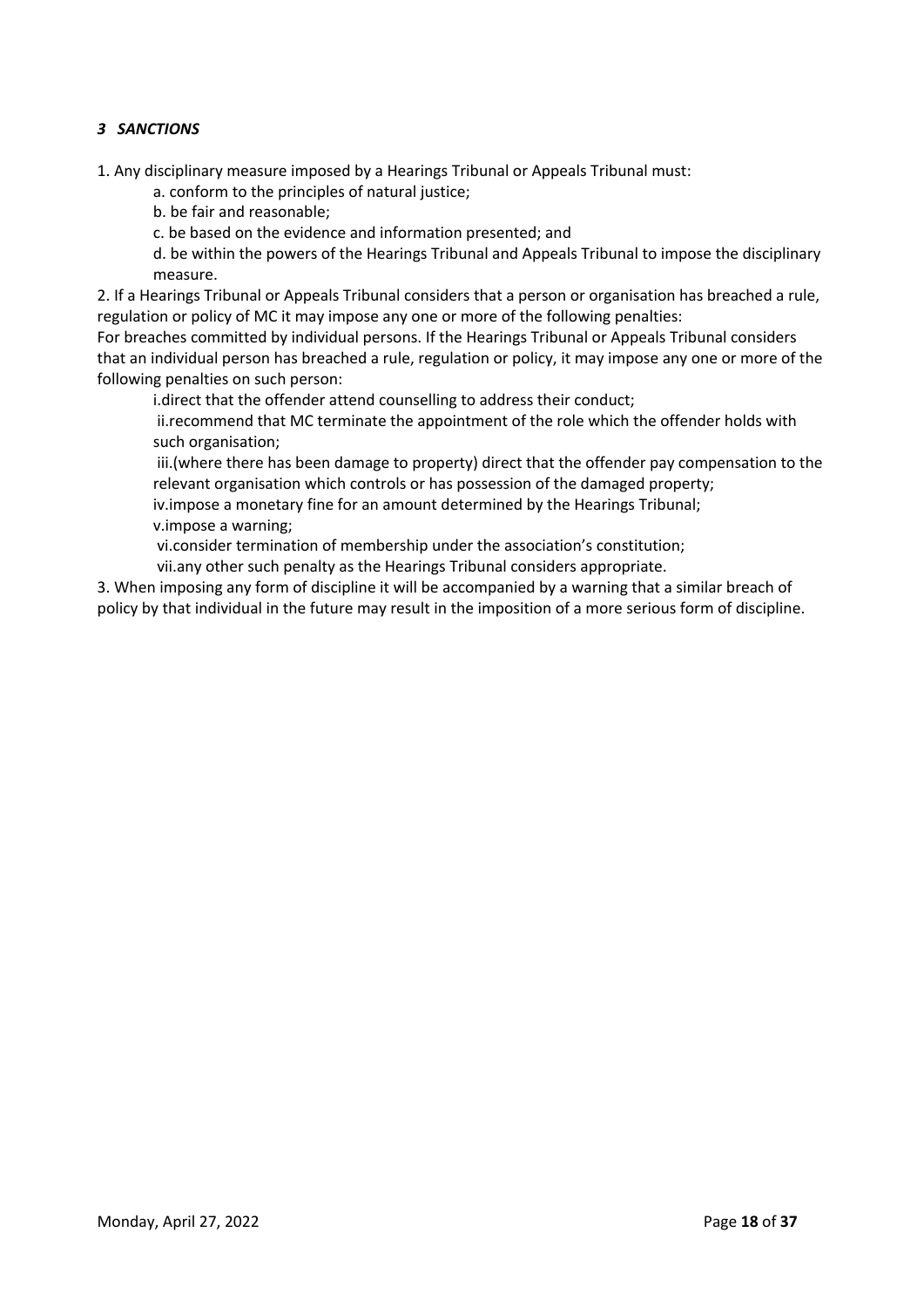# *3 SANCTIONS*

1. Any disciplinary measure imposed by a Hearings Tribunal or Appeals Tribunal must:

a. conform to the principles of natural justice;

b. be fair and reasonable;

c. be based on the evidence and information presented; and

d. be within the powers of the Hearings Tribunal and Appeals Tribunal to impose the disciplinary measure.

2. If a Hearings Tribunal or Appeals Tribunal considers that a person or organisation has breached a rule, regulation or policy of MC it may impose any one or more of the following penalties:

For breaches committed by individual persons. If the Hearings Tribunal or Appeals Tribunal considers that an individual person has breached a rule, regulation or policy, it may impose any one or more of the following penalties on such person:

i.direct that the offender attend counselling to address their conduct;

ii.recommend that MC terminate the appointment of the role which the offender holds with such organisation;

iii.(where there has been damage to property) direct that the offender pay compensation to the relevant organisation which controls or has possession of the damaged property;

iv.impose a monetary fine for an amount determined by the Hearings Tribunal; v.impose a warning;

vi.consider termination of membership under the association's constitution;

vii.any other such penalty as the Hearings Tribunal considers appropriate.

3. When imposing any form of discipline it will be accompanied by a warning that a similar breach of policy by that individual in the future may result in the imposition of a more serious form of discipline.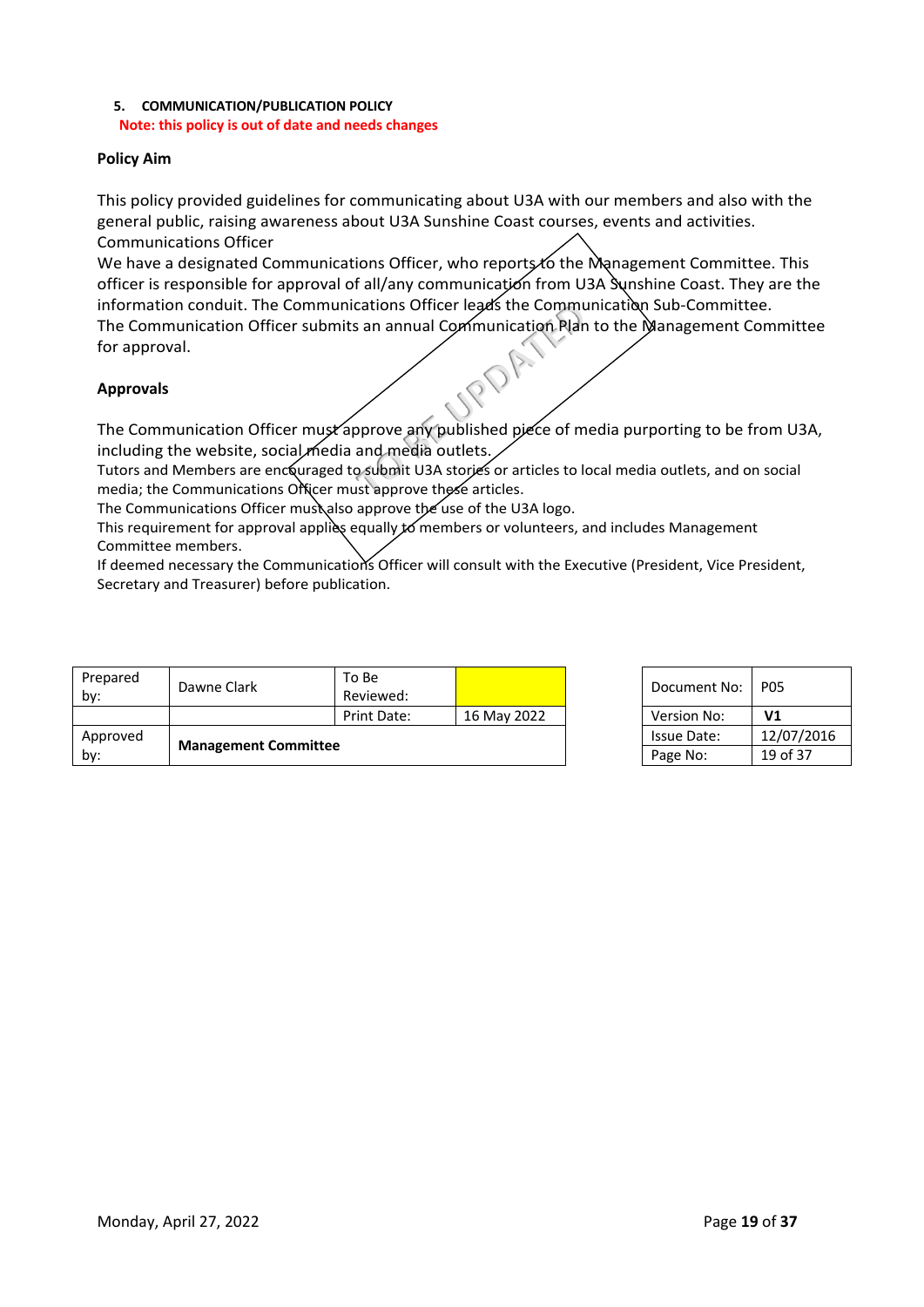# **5. COMMUNICATION/PUBLICATION POLICY Note: this policy is out of date and needs changes**

# **Policy Aim**

This policy provided guidelines for communicating about U3A with our members and also with the general public, raising awareness about U3A Sunshine Coast courses, events and activities. Communications Officer

cations Officer leads the Communication Plan<br>
is an annual Communication Plan<br>
prove any published piece of m<br>
and media outlets.<br>
psubmit U3A stories or articles to lust<br>
approve these articles. We have a designated Communications Officer, who reports to the Management Committee. This officer is responsible for approval of all/any communication from U3A Sunshine Coast. They are the information conduit. The Communications Officer leads the Communication Sub-Committee. The Communication Officer submits an annual Communication Plan to the Management Committee for approval.

# **Approvals**

The Communication Officer must approve any published piece of media purporting to be from U3A, including the website, social media and media outlets.

Tutors and Members are encouraged to submit U3A stories or articles to local media outlets, and on social media; the Communications Officer must approve these articles.

The Communications Officer must also approve the use of the U3A logo.

This requirement for approval applies equally  $\cancel{10}$  members or volunteers, and includes Management Committee members.

If deemed necessary the Communications Officer will consult with the Executive (President, Vice President, Secretary and Treasurer) before publication.

| Prepared<br>by: | Dawne Clark                 | To Be<br>Reviewed: |             | Document No:       | <b>P05</b>     |
|-----------------|-----------------------------|--------------------|-------------|--------------------|----------------|
|                 |                             | Print Date:        | 16 May 2022 | Version No:        | V <sub>1</sub> |
| Approved        |                             |                    |             | <b>Issue Date:</b> | 12/07/2016     |
| by:             | <b>Management Committee</b> |                    |             | Page No:           | 19 of 37       |

| Document No:       | P05            |
|--------------------|----------------|
| <b>Version No:</b> | V <sub>1</sub> |
| Issue Date:        | 12/07/2016     |
| Page No:           | 19 of 37       |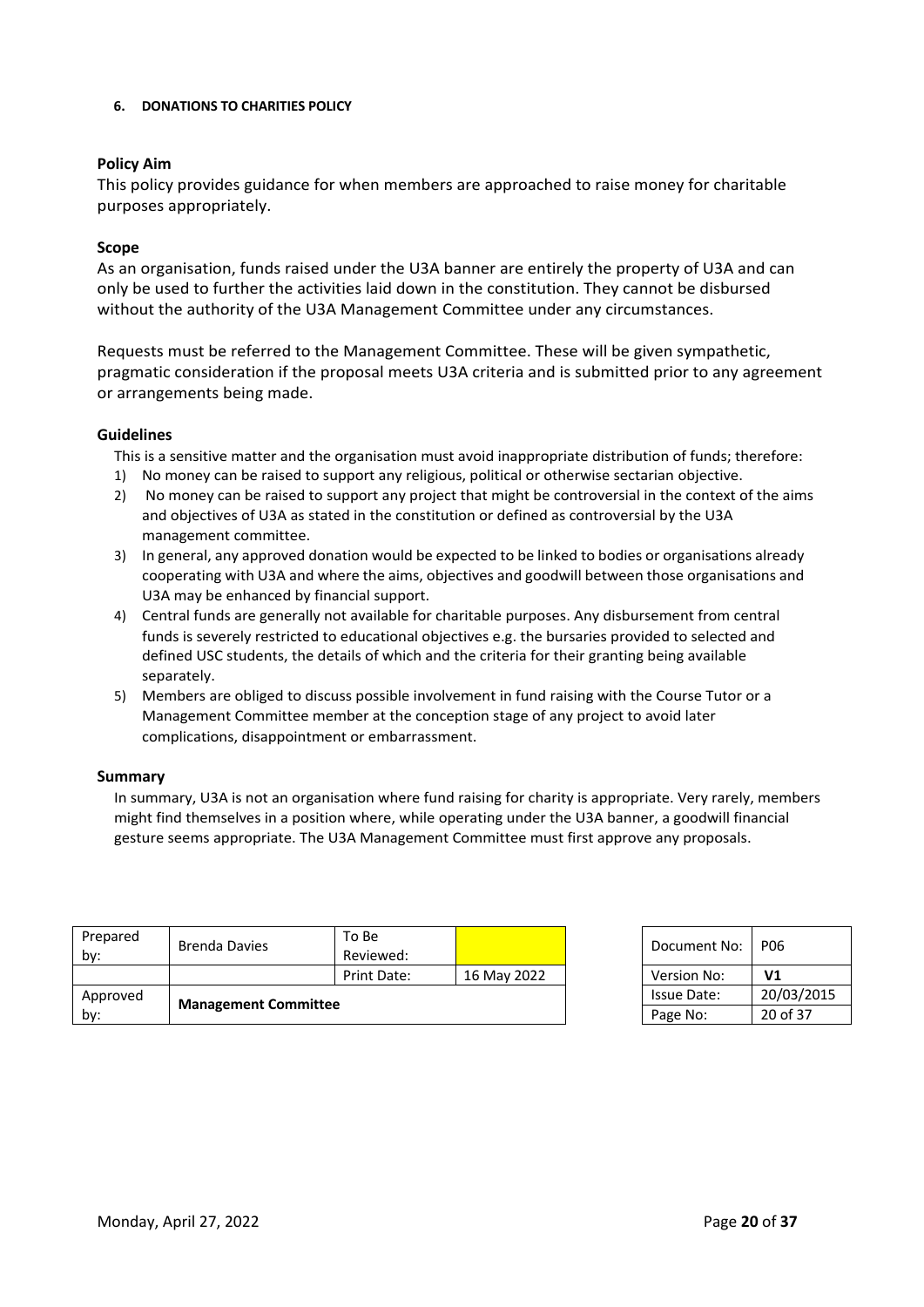# **6. DONATIONS TO CHARITIES POLICY**

# **Policy Aim**

This policy provides guidance for when members are approached to raise money for charitable purposes appropriately.

# **Scope**

As an organisation, funds raised under the U3A banner are entirely the property of U3A and can only be used to further the activities laid down in the constitution. They cannot be disbursed without the authority of the U3A Management Committee under any circumstances.

Requests must be referred to the Management Committee. These will be given sympathetic, pragmatic consideration if the proposal meets U3A criteria and is submitted prior to any agreement or arrangements being made.

# **Guidelines**

This is a sensitive matter and the organisation must avoid inappropriate distribution of funds; therefore:

- 1) No money can be raised to support any religious, political or otherwise sectarian objective.
- 2) No money can be raised to support any project that might be controversial in the context of the aims and objectives of U3A as stated in the constitution or defined as controversial by the U3A management committee.
- 3) In general, any approved donation would be expected to be linked to bodies or organisations already cooperating with U3A and where the aims, objectives and goodwill between those organisations and U3A may be enhanced by financial support.
- 4) Central funds are generally not available for charitable purposes. Any disbursement from central funds is severely restricted to educational objectives e.g. the bursaries provided to selected and defined USC students, the details of which and the criteria for their granting being available separately.
- 5) Members are obliged to discuss possible involvement in fund raising with the Course Tutor or a Management Committee member at the conception stage of any project to avoid later complications, disappointment or embarrassment.

# **Summary**

In summary, U3A is not an organisation where fund raising for charity is appropriate. Very rarely, members might find themselves in a position where, while operating under the U3A banner, a goodwill financial gesture seems appropriate. The U3A Management Committee must first approve any proposals.

| Prepared<br>by: | Brenda Davies               | To Be<br>Reviewed: |             | Document No:       | <b>P06</b>     |
|-----------------|-----------------------------|--------------------|-------------|--------------------|----------------|
|                 |                             | Print Date:        | 16 May 2022 | Version No:        | V <sub>1</sub> |
| Approved        |                             |                    |             | <b>Issue Date:</b> | 20/03/2015     |
| bv:             | <b>Management Committee</b> |                    |             | Page No:           | 20 of 37       |

| Document No: | PO6            |
|--------------|----------------|
| Version No:  | V <sub>1</sub> |
| Issue Date:  | 20/03/2015     |
| Page No:     | 20 of 37       |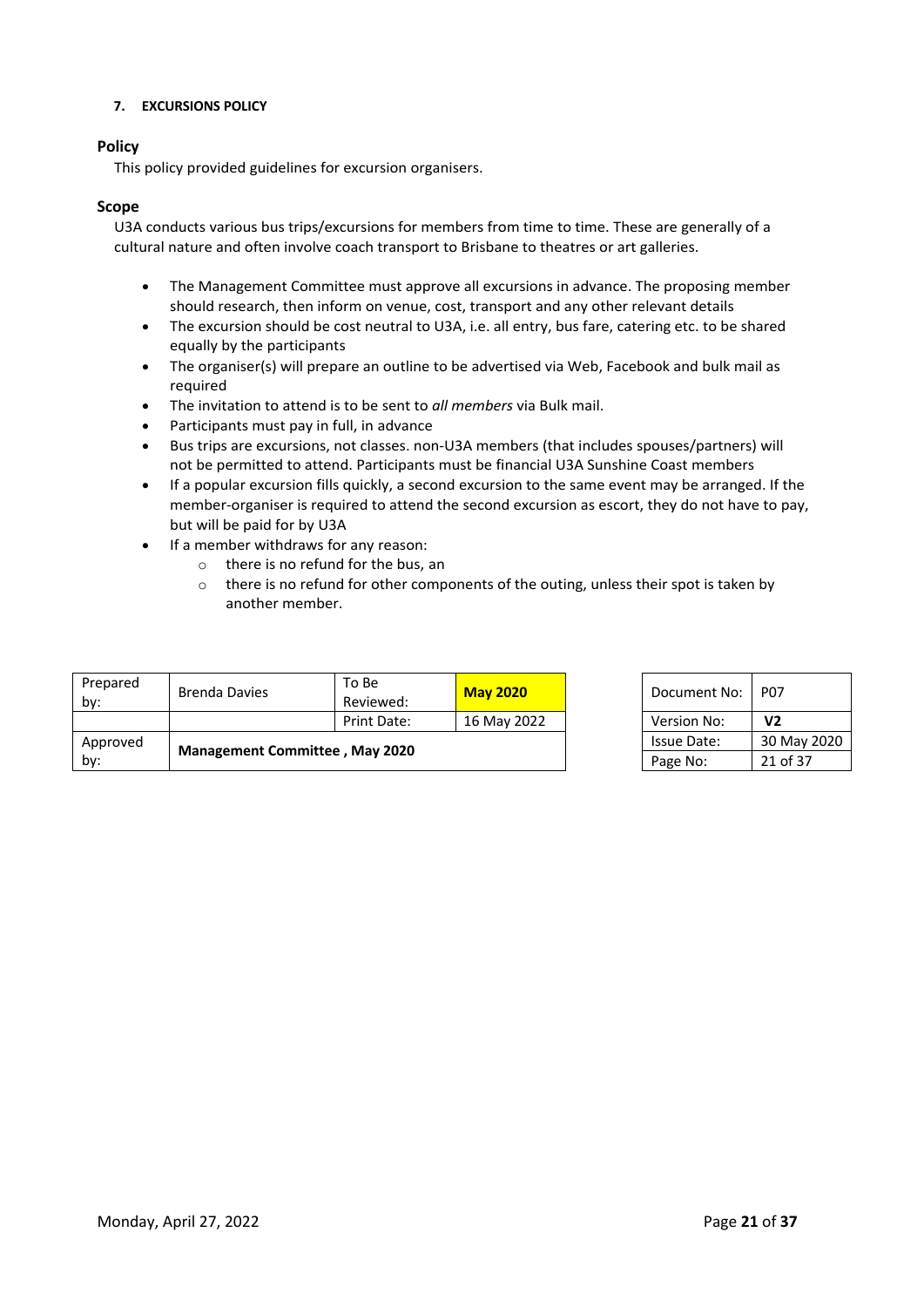# **7. EXCURSIONS POLICY**

# **Policy**

This policy provided guidelines for excursion organisers.

# **Scope**

U3A conducts various bus trips/excursions for members from time to time. These are generally of a cultural nature and often involve coach transport to Brisbane to theatres or art galleries.

- The Management Committee must approve all excursions in advance. The proposing member should research, then inform on venue, cost, transport and any other relevant details
- The excursion should be cost neutral to U3A, i.e. all entry, bus fare, catering etc. to be shared equally by the participants
- The organiser(s) will prepare an outline to be advertised via Web, Facebook and bulk mail as required
- The invitation to attend is to be sent to *all members* via Bulk mail.
- Participants must pay in full, in advance
- Bus trips are excursions, not classes. non-U3A members (that includes spouses/partners) will not be permitted to attend. Participants must be financial U3A Sunshine Coast members
- If a popular excursion fills quickly, a second excursion to the same event may be arranged. If the member-organiser is required to attend the second excursion as escort, they do not have to pay, but will be paid for by U3A
- If a member withdraws for any reason:
	- o there is no refund for the bus, an
	- o there is no refund for other components of the outing, unless their spot is taken by another member.

| Prepared<br>by: | Brenda Davies | To Be<br>Reviewed:                    | <b>May 2020</b> |  | Document No:       | <b>P07</b>     |
|-----------------|---------------|---------------------------------------|-----------------|--|--------------------|----------------|
|                 |               | Print Date:                           | 16 May 2022     |  | Version No:        | V <sub>2</sub> |
| Approved        |               |                                       |                 |  | <b>Issue Date:</b> | 30 May 2020    |
| by:             |               | <b>Management Committee, May 2020</b> |                 |  | Page No:           | 21 of 37       |

| Document No:       | P07            |
|--------------------|----------------|
| Version No:        | V <sub>2</sub> |
| <b>Issue Date:</b> | 30 May 2020    |
| Page No:           | 21 of 37       |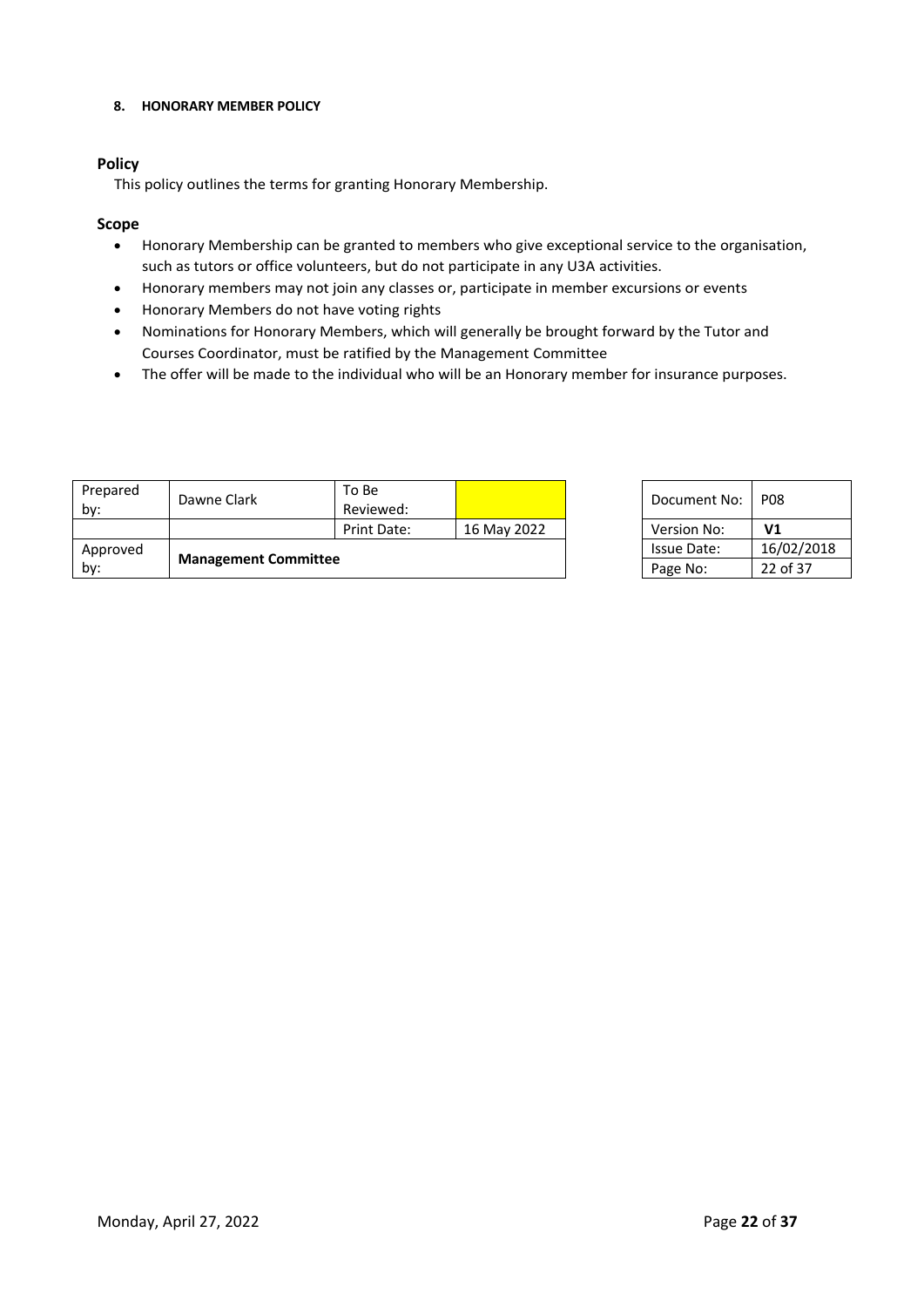#### **8. HONORARY MEMBER POLICY**

# **Policy**

This policy outlines the terms for granting Honorary Membership.

# **Scope**

- Honorary Membership can be granted to members who give exceptional service to the organisation, such as tutors or office volunteers, but do not participate in any U3A activities.
- Honorary members may not join any classes or, participate in member excursions or events
- Honorary Members do not have voting rights
- Nominations for Honorary Members, which will generally be brought forward by the Tutor and Courses Coordinator, must be ratified by the Management Committee
- The offer will be made to the individual who will be an Honorary member for insurance purposes.

| Prepared<br>by: | Dawne Clark                 | To Be<br>Reviewed: |             | Document No:       | <b>P08</b>     |
|-----------------|-----------------------------|--------------------|-------------|--------------------|----------------|
|                 |                             | Print Date:        | 16 May 2022 | <b>Version No:</b> | V <sub>1</sub> |
| Approved        |                             |                    |             | <b>Issue Date:</b> | 16/02/2018     |
| by:             | <b>Management Committee</b> |                    |             | Page No:           | 22 of 37       |

| Document No: | PO8        |
|--------------|------------|
| Version No:  | V1         |
| Issue Date:  | 16/02/2018 |
| Page No:     | 22 of 37   |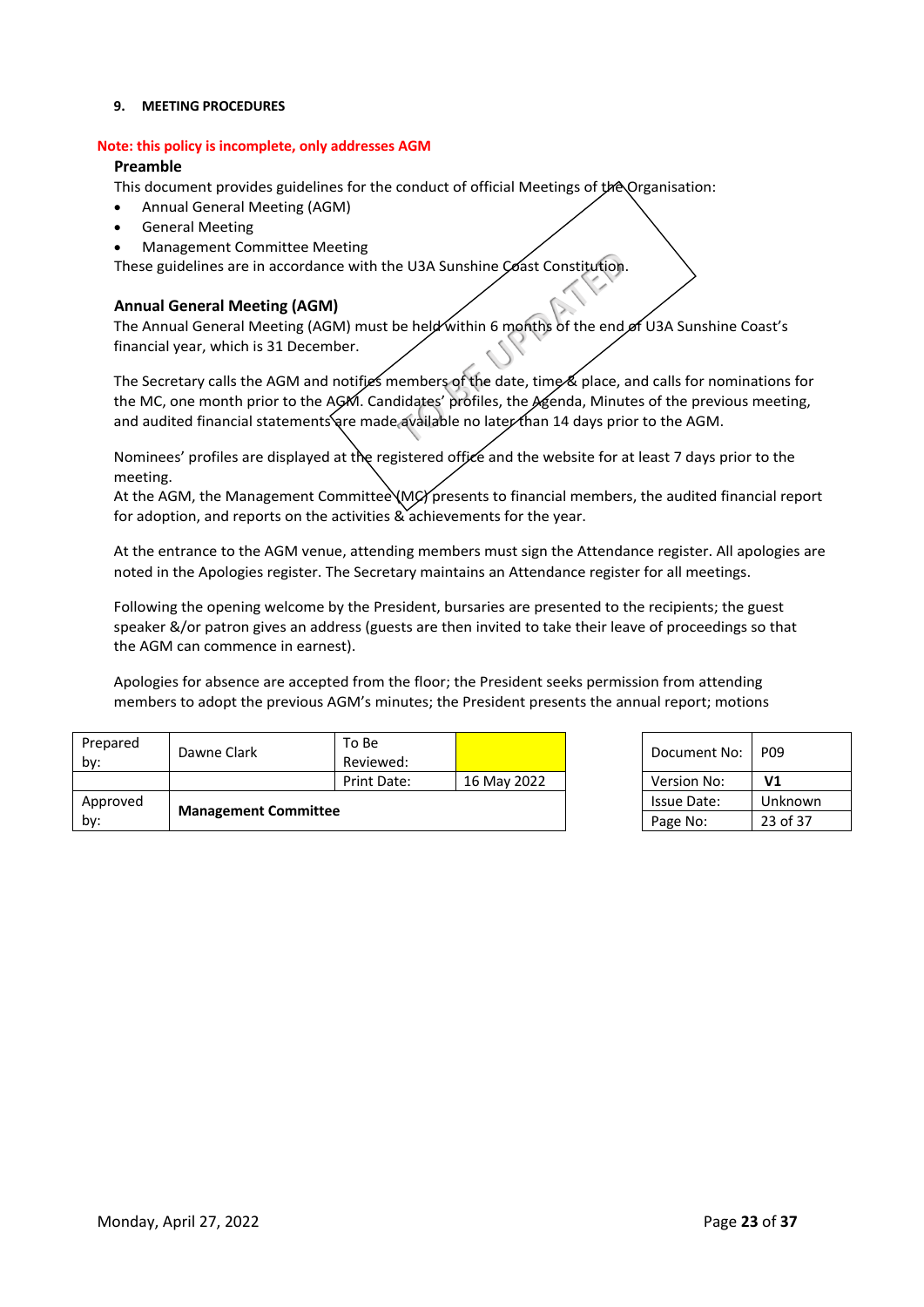#### **9. MEETING PROCEDURES**

#### **Note: this policy is incomplete, only addresses AGM**

#### **Preamble**

This document provides guidelines for the conduct of official Meetings of the Organisation:

- Annual General Meeting (AGM)
- General Meeting
- Management Committee Meeting

These guidelines are in accordance with the U3A Sunshine Coast Constitution.

# **Annual General Meeting (AGM)**

The Annual General Meeting (AGM) must be held within 6 months of the end of U3A Sunshine Coast's financial year, which is 31 December.

e U3A Sunshine Coast Constitution.<br>
De held within 6 months of the end<br>
rembers of the date, time & place, a<br>
didates' profiles, the Agenda, Minut<br>
rewailable no later than 14 days prior The Secretary calls the AGM and notifies members of the date, time & place, and calls for nominations for the MC, one month prior to the AGM. Candidates' profiles, the Agenda, Minutes of the previous meeting, and audited financial statements are made available no later than 14 days prior to the AGM.

Nominees' profiles are displayed at the registered office and the website for at least 7 days prior to the meeting.

At the AGM, the Management Committee (MC) presents to financial members, the audited financial report for adoption, and reports on the activities  $\&$  achievements for the year.

At the entrance to the AGM venue, attending members must sign the Attendance register. All apologies are noted in the Apologies register. The Secretary maintains an Attendance register for all meetings.

Following the opening welcome by the President, bursaries are presented to the recipients; the guest speaker &/or patron gives an address (guests are then invited to take their leave of proceedings so that the AGM can commence in earnest).

Apologies for absence are accepted from the floor; the President seeks permission from attending members to adopt the previous AGM's minutes; the President presents the annual report; motions

| Prepared<br>by: | Dawne Clark                 | To Be<br>Reviewed: |             | Document No:       | P <sub>09</sub> |
|-----------------|-----------------------------|--------------------|-------------|--------------------|-----------------|
|                 |                             | Print Date:        | 16 May 2022 | Version No:        | V <sub>1</sub>  |
| Approved        |                             |                    |             | <b>Issue Date:</b> | Unknown         |
| by:             | <b>Management Committee</b> |                    |             | Page No:           | 23 of 37        |

| Document No: | PO <sub>9</sub> |
|--------------|-----------------|
| Version No:  | V1              |
| Issue Date:  | Unknown         |
| Page No:     | 23 of 37        |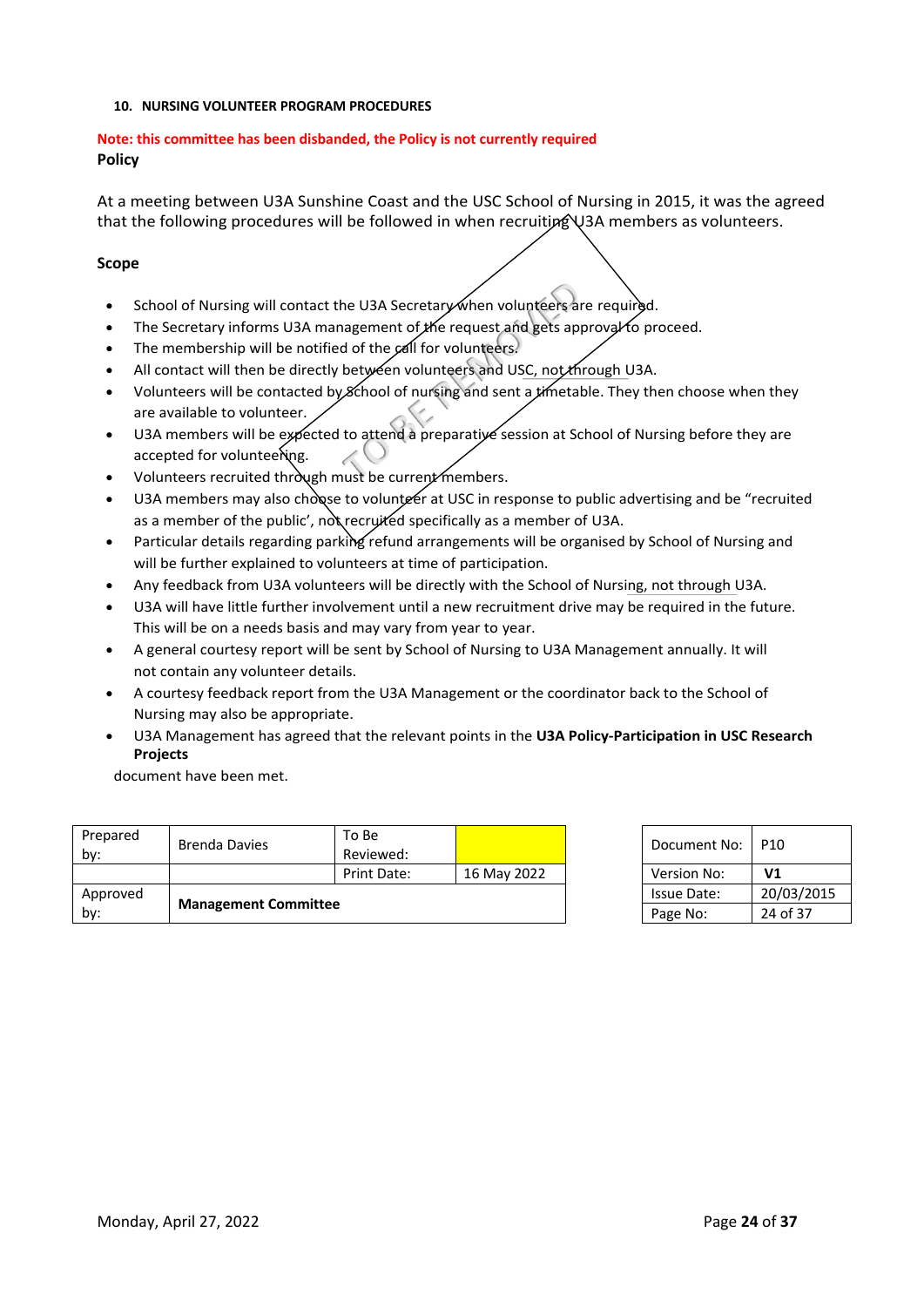#### **10. NURSING VOLUNTEER PROGRAM PROCEDURES**

# **Note: this committee has been disbanded, the Policy is not currently required Policy**

At a meeting between U3A Sunshine Coast and the USC School of Nursing in 2015, it was the agreed that the following procedures will be followed in when recruiting U3A members as volunteers.

# **Scope**

- School of Nursing will contact the U3A Secretary when volunteers are required.
- The Secretary informs U3A management of the request and gets approval to proceed.
- The membership will be notified of the call for volunteers.
- All contact will then be directly between volunteers and USC, not through U3A.
- Volunteers will be contacted by School of nursing and sent a timetable. They then choose when they are available to volunteer.
- The U3A Secretary when volunteers and agement of the request and gets ap<br>d of the call for volunteers.<br>between volunteers and USC, not the<br>School of nursing and sent a timetal<br>to attend a preparative session at School of n U3A members will be expected to attend a preparative session at School of Nursing before they are accepted for volunteering.
- Volunteers recruited through must be current members.
- U3A members may also chosse to volunteer at USC in response to public advertising and be "recruited as a member of the public', not recruited specifically as a member of U3A.
- Particular details regarding parking refund arrangements will be organised by School of Nursing and will be further explained to volunteers at time of participation.
- Any feedback from U3A volunteers will be directly with the School of Nursing, not through U3A.
- U3A will have little further involvement until a new recruitment drive may be required in the future. This will be on a needs basis and may vary from year to year.
- A general courtesy report will be sent by School of Nursing to U3A Management annually. It will not contain any volunteer details.
- A courtesy feedback report from the U3A Management or the coordinator back to the School of Nursing may also be appropriate.
- U3A Management has agreed that the relevant points in the **U3A Policy-Participation in USC Research Projects**

document have been met.

| Approved<br>by: | <b>Management Committee</b> |                    |             | Page No:     | 24 of 37        |
|-----------------|-----------------------------|--------------------|-------------|--------------|-----------------|
|                 |                             |                    |             | Issue Date:  | 20/03/2015      |
|                 |                             | Print Date:        | 16 May 2022 | Version No:  | V <sub>1</sub>  |
| Prepared<br>by: | <b>Brenda Davies</b>        | To Be<br>Reviewed: |             | Document No: | P <sub>10</sub> |
|                 |                             |                    |             |              |                 |

| Document No:       | P10        |
|--------------------|------------|
| Version No:        | V1         |
| <b>Issue Date:</b> | 20/03/2015 |
| Page No:           | 24 of 37   |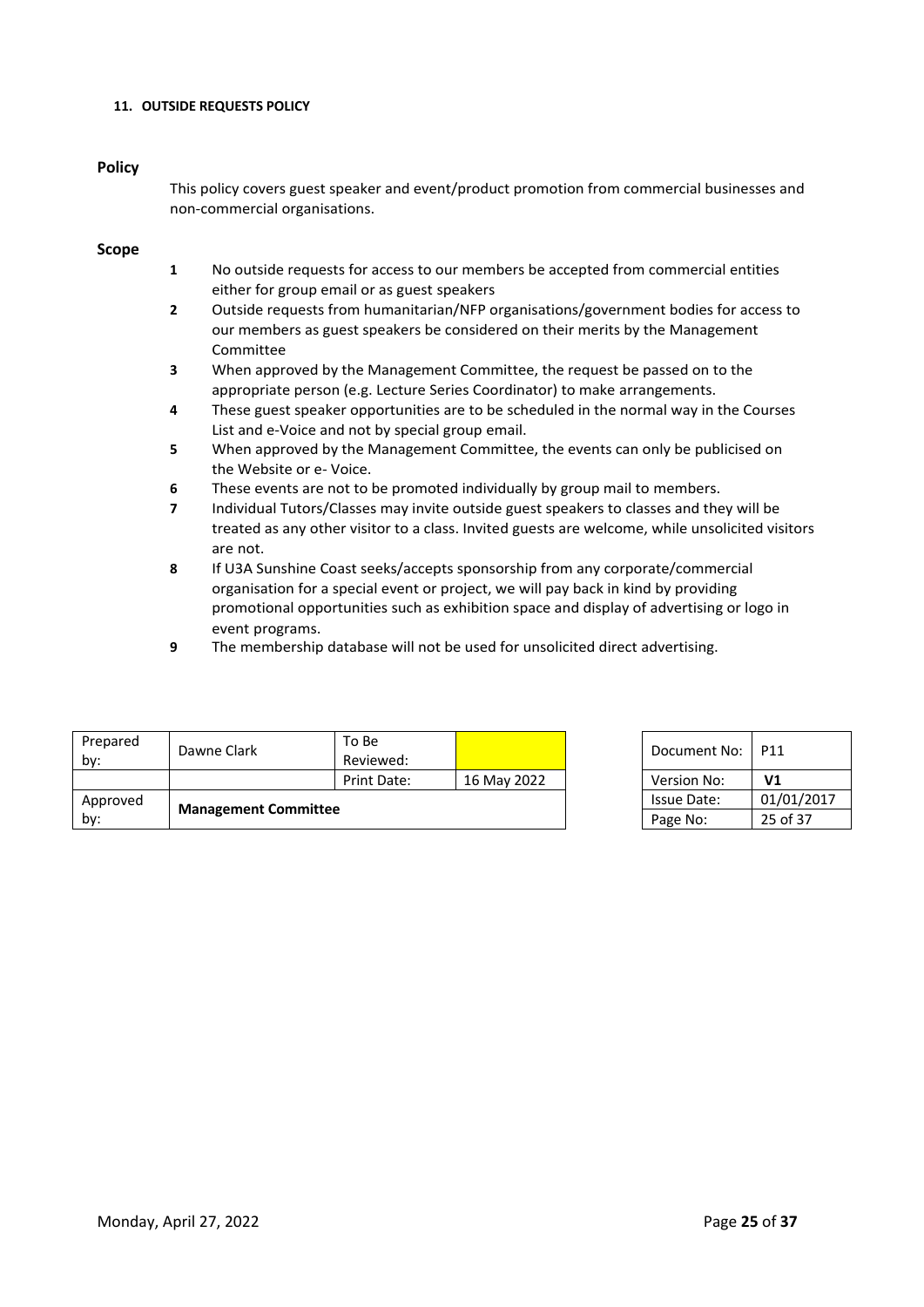#### **11. OUTSIDE REQUESTS POLICY**

#### **Policy**

This policy covers guest speaker and event/product promotion from commercial businesses and non-commercial organisations.

#### **Scope**

- **1** No outside requests for access to our members be accepted from commercial entities either for group email or as guest speakers
- **2** Outside requests from humanitarian/NFP organisations/government bodies for access to our members as guest speakers be considered on their merits by the Management Committee
- **3** When approved by the Management Committee, the request be passed on to the appropriate person (e.g. Lecture Series Coordinator) to make arrangements.
- **4** These guest speaker opportunities are to be scheduled in the normal way in the Courses List and e-Voice and not by special group email.
- **5** When approved by the Management Committee, the events can only be publicised on the Website or e- Voice.
- **6** These events are not to be promoted individually by group mail to members.
- **7** Individual Tutors/Classes may invite outside guest speakers to classes and they will be treated as any other visitor to a class. Invited guests are welcome, while unsolicited visitors are not.
- **8** If U3A Sunshine Coast seeks/accepts sponsorship from any corporate/commercial organisation for a special event or project, we will pay back in kind by providing promotional opportunities such as exhibition space and display of advertising or logo in event programs.
- **9** The membership database will not be used for unsolicited direct advertising.

| Prepared<br>by:                    | Dawne Clark | To Bel<br>Reviewed: |             | Document No: | P11            |
|------------------------------------|-------------|---------------------|-------------|--------------|----------------|
|                                    |             | Print Date:         | 16 May 2022 | Version No:  | V <sub>1</sub> |
| Approved                           |             |                     |             | Issue Date:  | 01/01/2017     |
| <b>Management Committee</b><br>by: |             |                     |             | Page No:     | 25 of 37       |

| Document No: | P11            |
|--------------|----------------|
| Version No:  | V <sub>1</sub> |
| Issue Date:  | 01/01/2017     |
| Page No:     | 25 of 37       |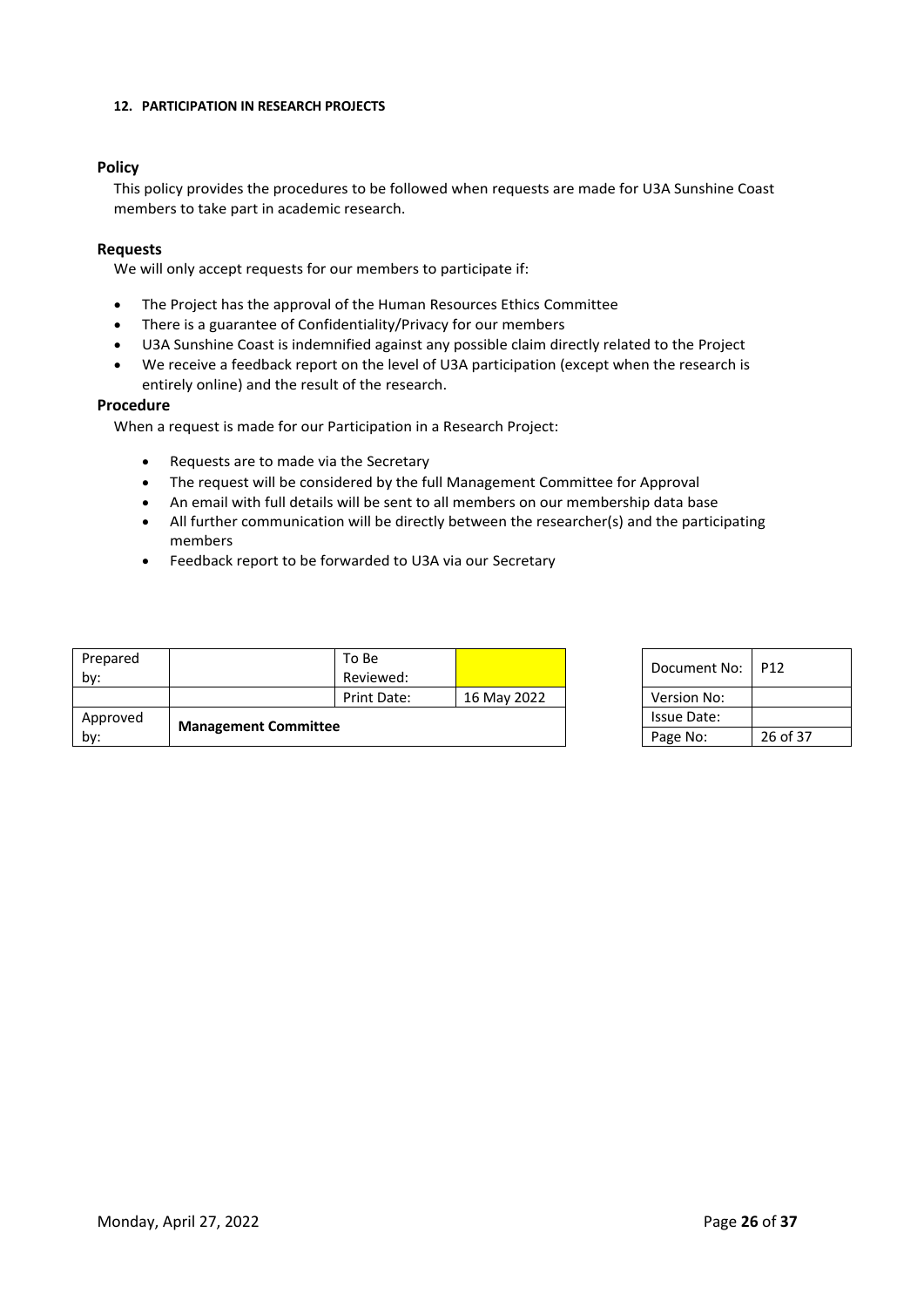#### **12. PARTICIPATION IN RESEARCH PROJECTS**

# **Policy**

This policy provides the procedures to be followed when requests are made for U3A Sunshine Coast members to take part in academic research.

#### **Requests**

We will only accept requests for our members to participate if:

- The Project has the approval of the Human Resources Ethics Committee
- There is a guarantee of Confidentiality/Privacy for our members
- U3A Sunshine Coast is indemnified against any possible claim directly related to the Project
- We receive a feedback report on the level of U3A participation (except when the research is entirely online) and the result of the research.

#### **Procedure**

When a request is made for our Participation in a Research Project:

- Requests are to made via the Secretary
- The request will be considered by the full Management Committee for Approval
- An email with full details will be sent to all members on our membership data base
- All further communication will be directly between the researcher(s) and the participating members
- Feedback report to be forwarded to U3A via our Secretary

| Approved<br>by: | <b>Management Committee</b> |                    |             | Issue Date:<br>Page No: | 26 <sub>0</sub> |
|-----------------|-----------------------------|--------------------|-------------|-------------------------|-----------------|
|                 |                             | Print Date:        | 16 May 2022 | Version No:             |                 |
| Prepared<br>bv: |                             | To Be<br>Reviewed: |             | Document No:            | P <sub>12</sub> |

| Document No: | P <sub>12</sub> |
|--------------|-----------------|
| Version No:  |                 |
| Issue Date:  |                 |
| Page No:     | 26 of 37        |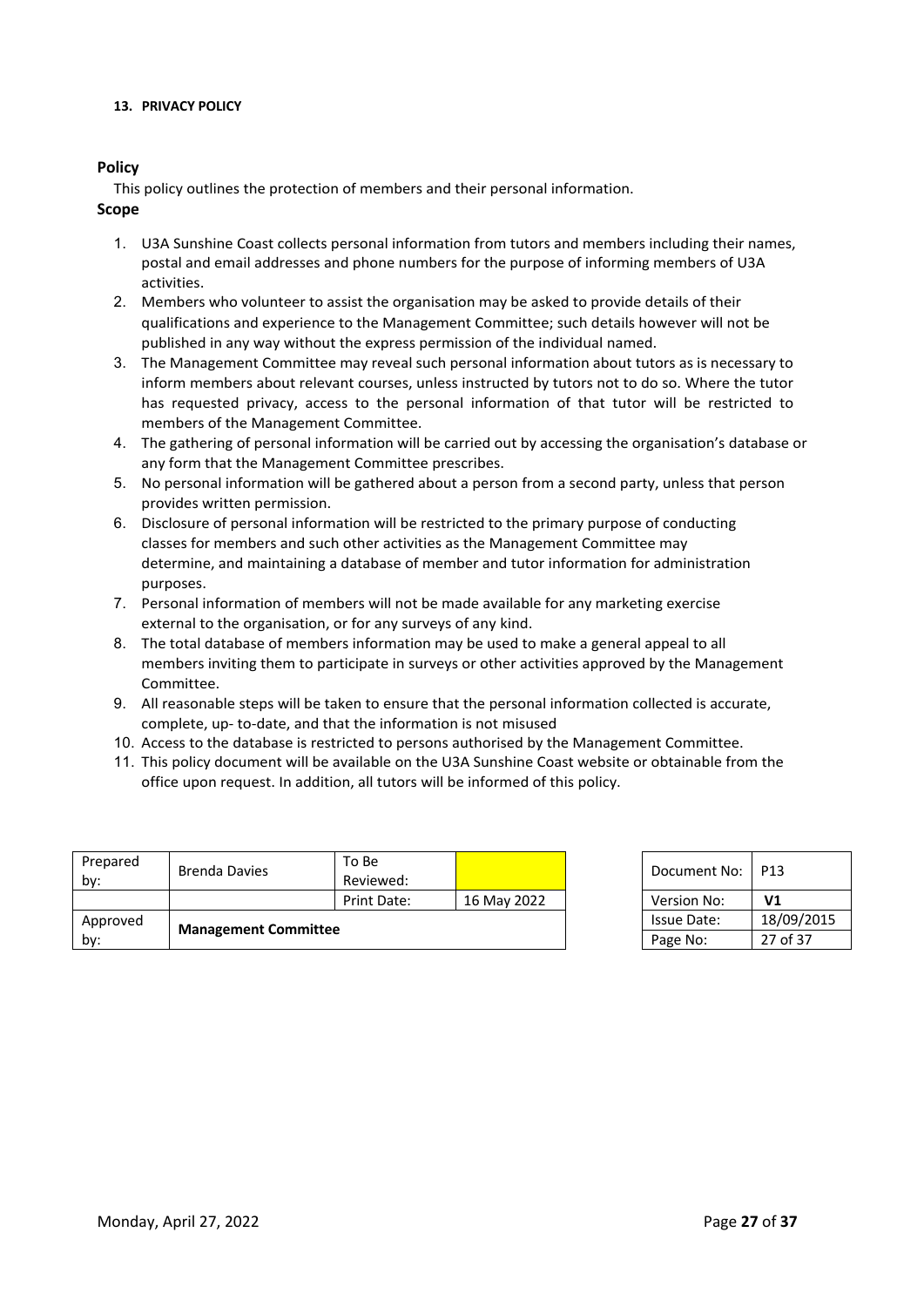#### **13. PRIVACY POLICY**

# **Policy**

This policy outlines the protection of members and their personal information.

#### **Scope**

- 1. U3A Sunshine Coast collects personal information from tutors and members including their names, postal and email addresses and phone numbers for the purpose of informing members of U3A activities.
- 2. Members who volunteer to assist the organisation may be asked to provide details of their qualifications and experience to the Management Committee; such details however will not be published in any way without the express permission of the individual named.
- 3. The Management Committee may reveal such personal information about tutors as is necessary to inform members about relevant courses, unless instructed by tutors not to do so. Where the tutor has requested privacy, access to the personal information of that tutor will be restricted to members of the Management Committee.
- 4. The gathering of personal information will be carried out by accessing the organisation's database or any form that the Management Committee prescribes.
- 5. No personal information will be gathered about a person from a second party, unless that person provides written permission.
- 6. Disclosure of personal information will be restricted to the primary purpose of conducting classes for members and such other activities as the Management Committee may determine, and maintaining a database of member and tutor information for administration purposes.
- 7. Personal information of members will not be made available for any marketing exercise external to the organisation, or for any surveys of any kind.
- 8. The total database of members information may be used to make a general appeal to all members inviting them to participate in surveys or other activities approved by the Management Committee.
- 9. All reasonable steps will be taken to ensure that the personal information collected is accurate, complete, up- to-date, and that the information is not misused
- 10. Access to the database is restricted to persons authorised by the Management Committee.
- 11. This policy document will be available on the U3A Sunshine Coast website or obtainable from the office upon request. In addition, all tutors will be informed of this policy.

| Prepared<br>by: | Brenda Davies               | To Be<br>Reviewed: |             | Document No: 1     | P13            |
|-----------------|-----------------------------|--------------------|-------------|--------------------|----------------|
|                 |                             | Print Date:        | 16 May 2022 | Version No:        | V <sub>1</sub> |
| Approved        |                             |                    |             | <b>Issue Date:</b> | 18/09/2015     |
| by:             | <b>Management Committee</b> |                    |             | Page No:           | 27 of 37       |

| Document No:       | P13            |
|--------------------|----------------|
| <b>Version No:</b> | V <sub>1</sub> |
| Issue Date:        | 18/09/2015     |
| Page No:           | 27 of 37       |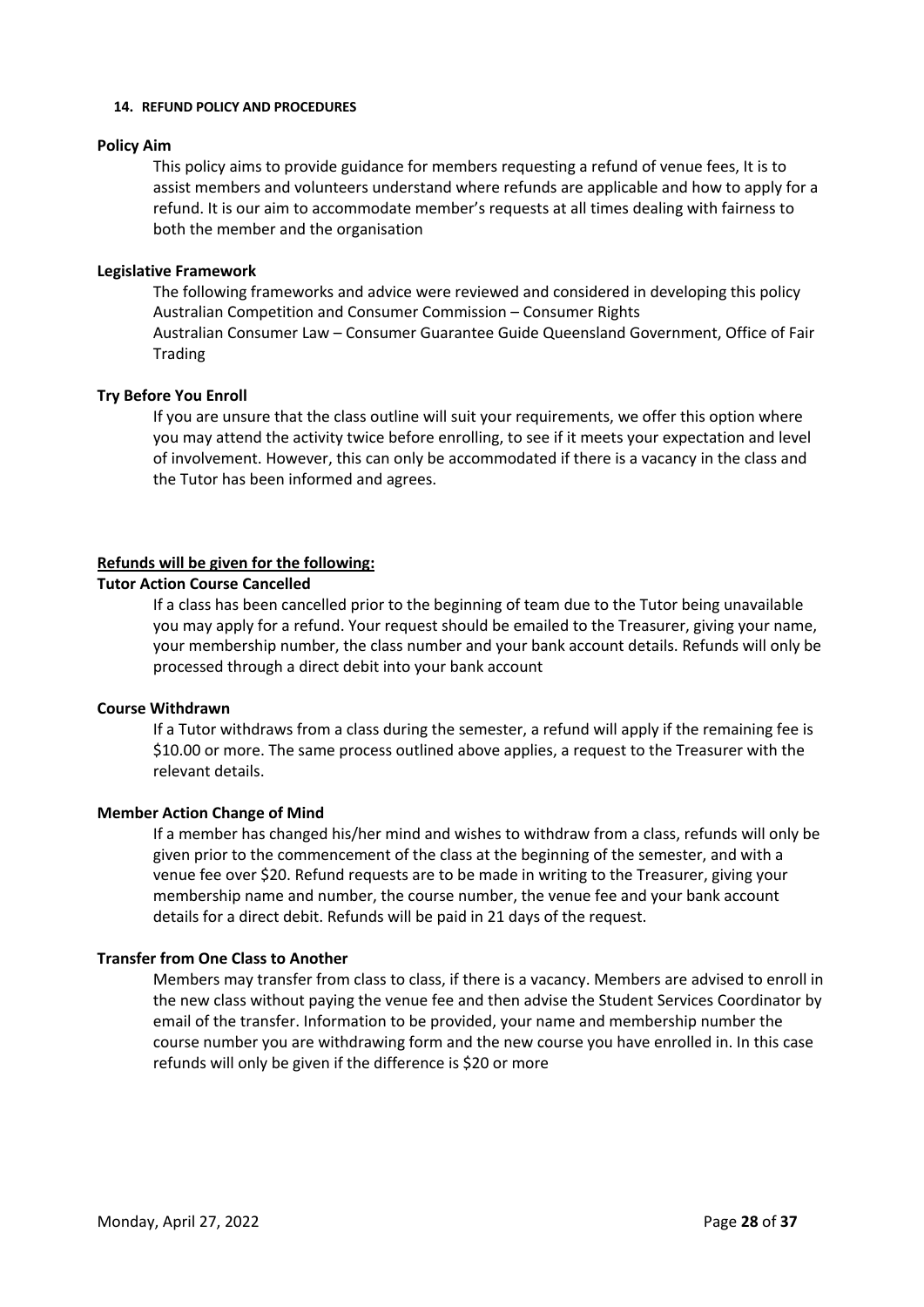#### **14. REFUND POLICY AND PROCEDURES**

#### **Policy Aim**

This policy aims to provide guidance for members requesting a refund of venue fees, It is to assist members and volunteers understand where refunds are applicable and how to apply for a refund. It is our aim to accommodate member's requests at all times dealing with fairness to both the member and the organisation

# **Legislative Framework**

The following frameworks and advice were reviewed and considered in developing this policy Australian Competition and Consumer Commission – Consumer Rights Australian Consumer Law – Consumer Guarantee Guide Queensland Government, Office of Fair Trading

# **Try Before You Enroll**

If you are unsure that the class outline will suit your requirements, we offer this option where you may attend the activity twice before enrolling, to see if it meets your expectation and level of involvement. However, this can only be accommodated if there is a vacancy in the class and the Tutor has been informed and agrees.

# **Refunds will be given for the following:**

# **Tutor Action Course Cancelled**

If a class has been cancelled prior to the beginning of team due to the Tutor being unavailable you may apply for a refund. Your request should be emailed to the Treasurer, giving your name, your membership number, the class number and your bank account details. Refunds will only be processed through a direct debit into your bank account

#### **Course Withdrawn**

If a Tutor withdraws from a class during the semester, a refund will apply if the remaining fee is \$10.00 or more. The same process outlined above applies, a request to the Treasurer with the relevant details.

# **Member Action Change of Mind**

If a member has changed his/her mind and wishes to withdraw from a class, refunds will only be given prior to the commencement of the class at the beginning of the semester, and with a venue fee over \$20. Refund requests are to be made in writing to the Treasurer, giving your membership name and number, the course number, the venue fee and your bank account details for a direct debit. Refunds will be paid in 21 days of the request.

# **Transfer from One Class to Another**

Members may transfer from class to class, if there is a vacancy. Members are advised to enroll in the new class without paying the venue fee and then advise the Student Services Coordinator by email of the transfer. Information to be provided, your name and membership number the course number you are withdrawing form and the new course you have enrolled in. In this case refunds will only be given if the difference is \$20 or more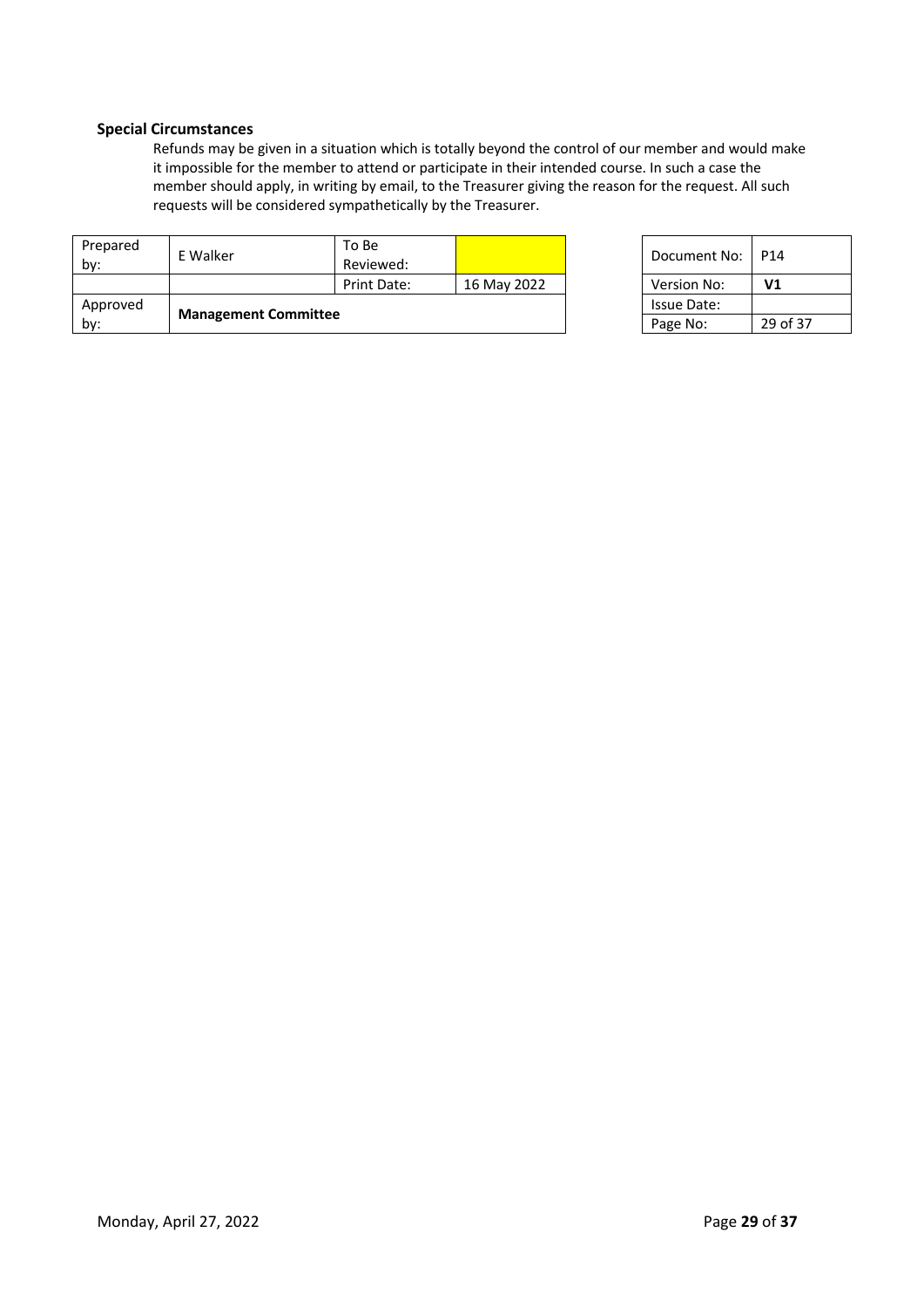# **Special Circumstances**

Refunds may be given in a situation which is totally beyond the control of our member and would make it impossible for the member to attend or participate in their intended course. In such a case the member should apply, in writing by email, to the Treasurer giving the reason for the request. All such requests will be considered sympathetically by the Treasurer.

| Approved<br>by: | <b>Management Committee</b> |                    |             | <b>Issue Date:</b><br>Page No: | 29 <sub>0</sub> |
|-----------------|-----------------------------|--------------------|-------------|--------------------------------|-----------------|
|                 |                             | Print Date:        | 16 May 2022 | Version No:                    | V <sub>1</sub>  |
| Prepared<br>by: | E Walker                    | To Be<br>Reviewed: |             | Document No:                   | P <sub>14</sub> |

| Document No: | P14      |
|--------------|----------|
| Version No:  | V1       |
| Issue Date:  |          |
| Page No:     | 29 of 37 |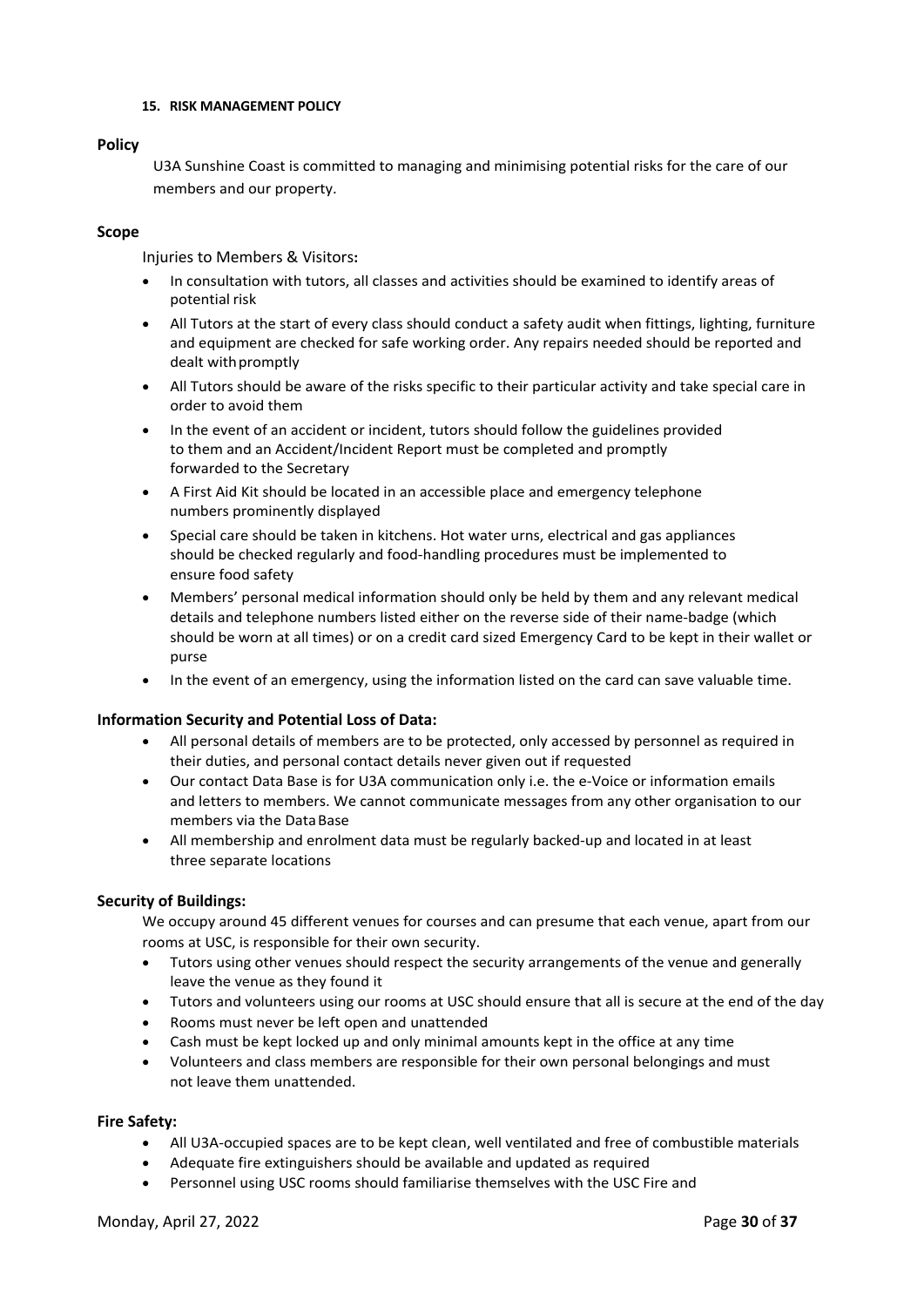#### **15. RISK MANAGEMENT POLICY**

#### **Policy**

U3A Sunshine Coast is committed to managing and minimising potential risks for the care of our members and our property.

# **Scope**

Injuries to Members & Visitors**:**

- In consultation with tutors, all classes and activities should be examined to identify areas of potential risk
- All Tutors at the start of every class should conduct a safety audit when fittings, lighting, furniture and equipment are checked for safe working order. Any repairs needed should be reported and dealt withpromptly
- All Tutors should be aware of the risks specific to their particular activity and take special care in order to avoid them
- In the event of an accident or incident, tutors should follow the guidelines provided to them and an Accident/Incident Report must be completed and promptly forwarded to the Secretary
- A First Aid Kit should be located in an accessible place and emergency telephone numbers prominently displayed
- Special care should be taken in kitchens. Hot water urns, electrical and gas appliances should be checked regularly and food-handling procedures must be implemented to ensure food safety
- Members' personal medical information should only be held by them and any relevant medical details and telephone numbers listed either on the reverse side of their name-badge (which should be worn at all times) or on a credit card sized Emergency Card to be kept in their wallet or purse
- In the event of an emergency, using the information listed on the card can save valuable time.

# **Information Security and Potential Loss of Data:**

- All personal details of members are to be protected, only accessed by personnel as required in their duties, and personal contact details never given out if requested
- Our contact Data Base is for U3A communication only i.e. the e-Voice or information emails and letters to members. We cannot communicate messages from any other organisation to our members via the Data Base
- All membership and enrolment data must be regularly backed-up and located in at least three separate locations

#### **Security of Buildings:**

We occupy around 45 different venues for courses and can presume that each venue, apart from our rooms at USC, is responsible for their own security.

- Tutors using other venues should respect the security arrangements of the venue and generally leave the venue as they found it
- Tutors and volunteers using our rooms at USC should ensure that all is secure at the end of the day
- Rooms must never be left open and unattended
- Cash must be kept locked up and only minimal amounts kept in the office at any time
- Volunteers and class members are responsible for their own personal belongings and must not leave them unattended.

#### **Fire Safety:**

- All U3A-occupied spaces are to be kept clean, well ventilated and free of combustible materials
- Adequate fire extinguishers should be available and updated as required
- Personnel using USC rooms should familiarise themselves with the USC Fire and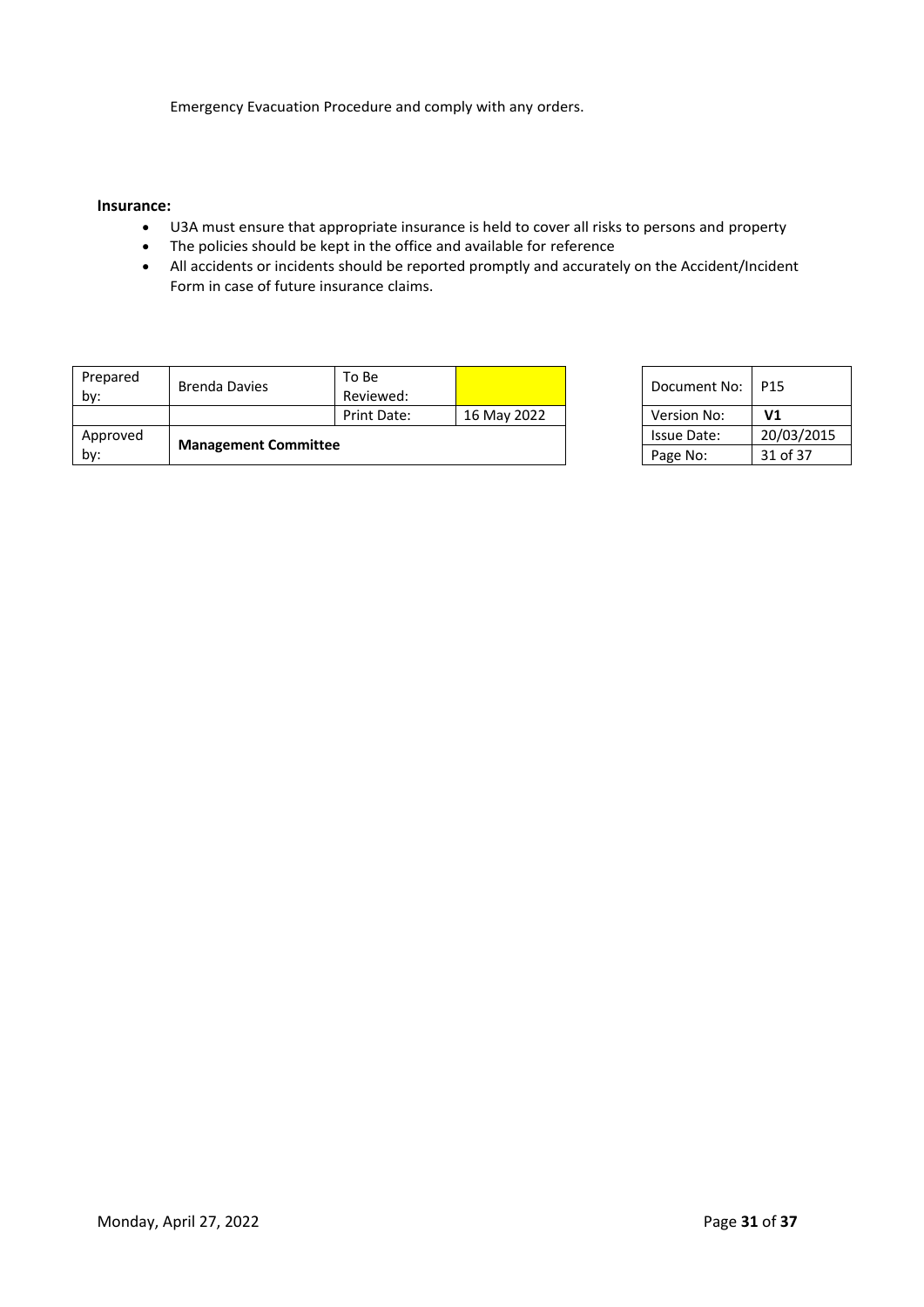Emergency Evacuation Procedure and comply with any orders.

#### **Insurance:**

- U3A must ensure that appropriate insurance is held to cover all risks to persons and property
- The policies should be kept in the office and available for reference
- All accidents or incidents should be reported promptly and accurately on the Accident/Incident Form in case of future insurance claims.

| Prepared<br>by: | Brenda Davies               | To Be<br>Reviewed: |             | Document No: | P15            |
|-----------------|-----------------------------|--------------------|-------------|--------------|----------------|
|                 |                             | Print Date:        | 16 May 2022 | Version No:  | V <sub>1</sub> |
| Approved        |                             |                    |             | Issue Date:  | 20/03/2015     |
| by:             | <b>Management Committee</b> |                    |             | Page No:     | 31 of 37       |

| Document No: | P15            |
|--------------|----------------|
| Version No:  | V <sub>1</sub> |
| Issue Date:  | 20/03/2015     |
| Page No:     | 31 of 37       |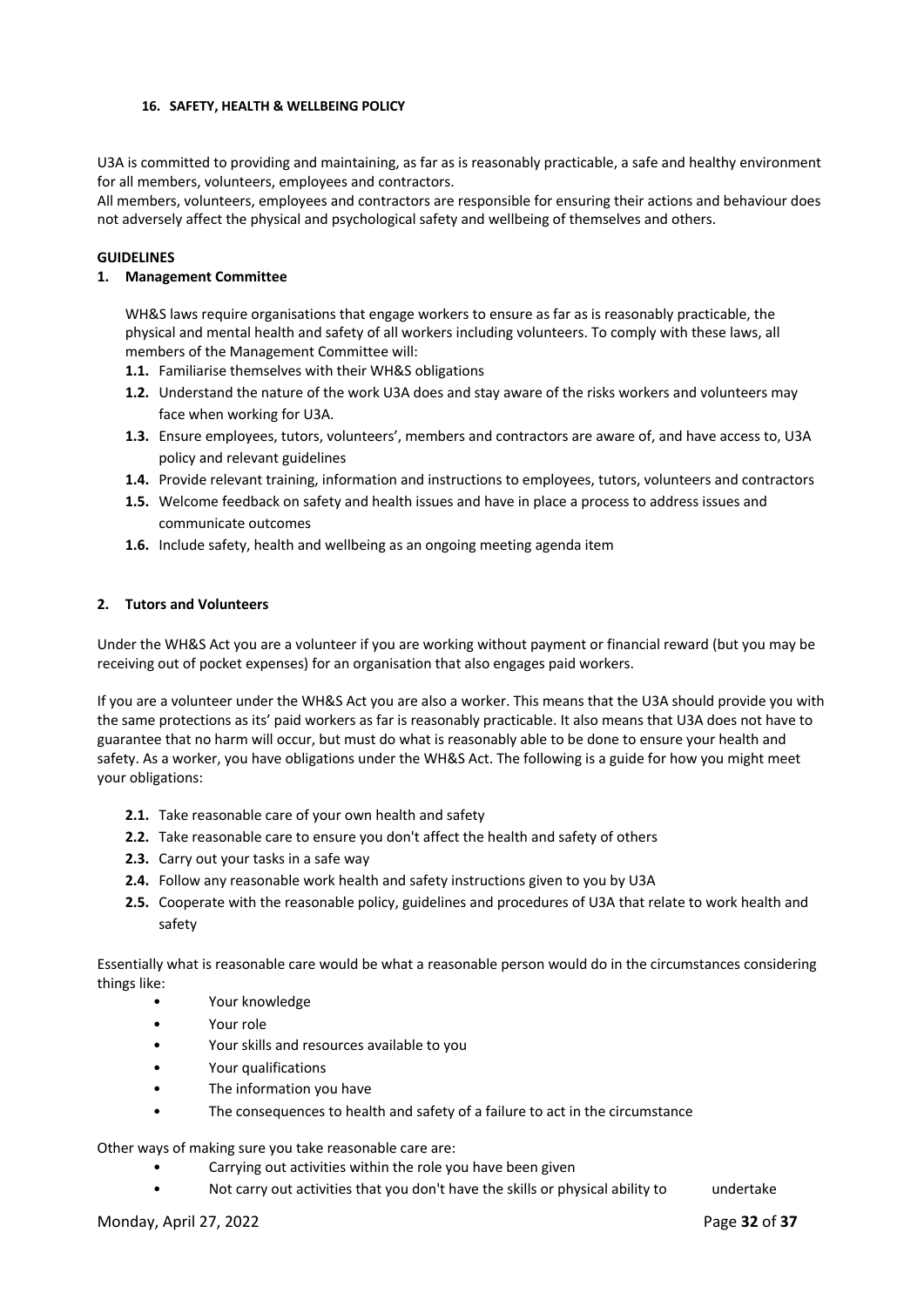#### **16. SAFETY, HEALTH & WELLBEING POLICY**

U3A is committed to providing and maintaining, as far as is reasonably practicable, a safe and healthy environment for all members, volunteers, employees and contractors.

All members, volunteers, employees and contractors are responsible for ensuring their actions and behaviour does not adversely affect the physical and psychological safety and wellbeing of themselves and others.

# **GUIDELINES**

# **1. Management Committee**

WH&S laws require organisations that engage workers to ensure as far as is reasonably practicable, the physical and mental health and safety of all workers including volunteers. To comply with these laws, all members of the Management Committee will:

- **1.1.** Familiarise themselves with their WH&S obligations
- **1.2.** Understand the nature of the work U3A does and stay aware of the risks workers and volunteers may face when working for U3A.
- **1.3.** Ensure employees, tutors, volunteers', members and contractors are aware of, and have access to, U3A policy and relevant guidelines
- **1.4.** Provide relevant training, information and instructions to employees, tutors, volunteers and contractors
- **1.5.** Welcome feedback on safety and health issues and have in place a process to address issues and communicate outcomes
- **1.6.** Include safety, health and wellbeing as an ongoing meeting agenda item

# **2. Tutors and Volunteers**

Under the WH&S Act you are a volunteer if you are working without payment or financial reward (but you may be receiving out of pocket expenses) for an organisation that also engages paid workers.

If you are a volunteer under the WH&S Act you are also a worker. This means that the U3A should provide you with the same protections as its' paid workers as far is reasonably practicable. It also means that U3A does not have to guarantee that no harm will occur, but must do what is reasonably able to be done to ensure your health and safety. As a worker, you have obligations under the WH&S Act. The following is a guide for how you might meet your obligations:

- **2.1.** Take reasonable care of your own health and safety
- **2.2.** Take reasonable care to ensure you don't affect the health and safety of others
- **2.3.** Carry out your tasks in a safe way
- **2.4.** Follow any reasonable work health and safety instructions given to you by U3A
- **2.5.** Cooperate with the reasonable policy, guidelines and procedures of U3A that relate to work health and safety

Essentially what is reasonable care would be what a reasonable person would do in the circumstances considering things like:

- Your knowledge
- Your role
- Your skills and resources available to you
- Your qualifications
- The information you have
- The consequences to health and safety of a failure to act in the circumstance

Other ways of making sure you take reasonable care are:

- Carrying out activities within the role you have been given
- Not carry out activities that you don't have the skills or physical ability to undertake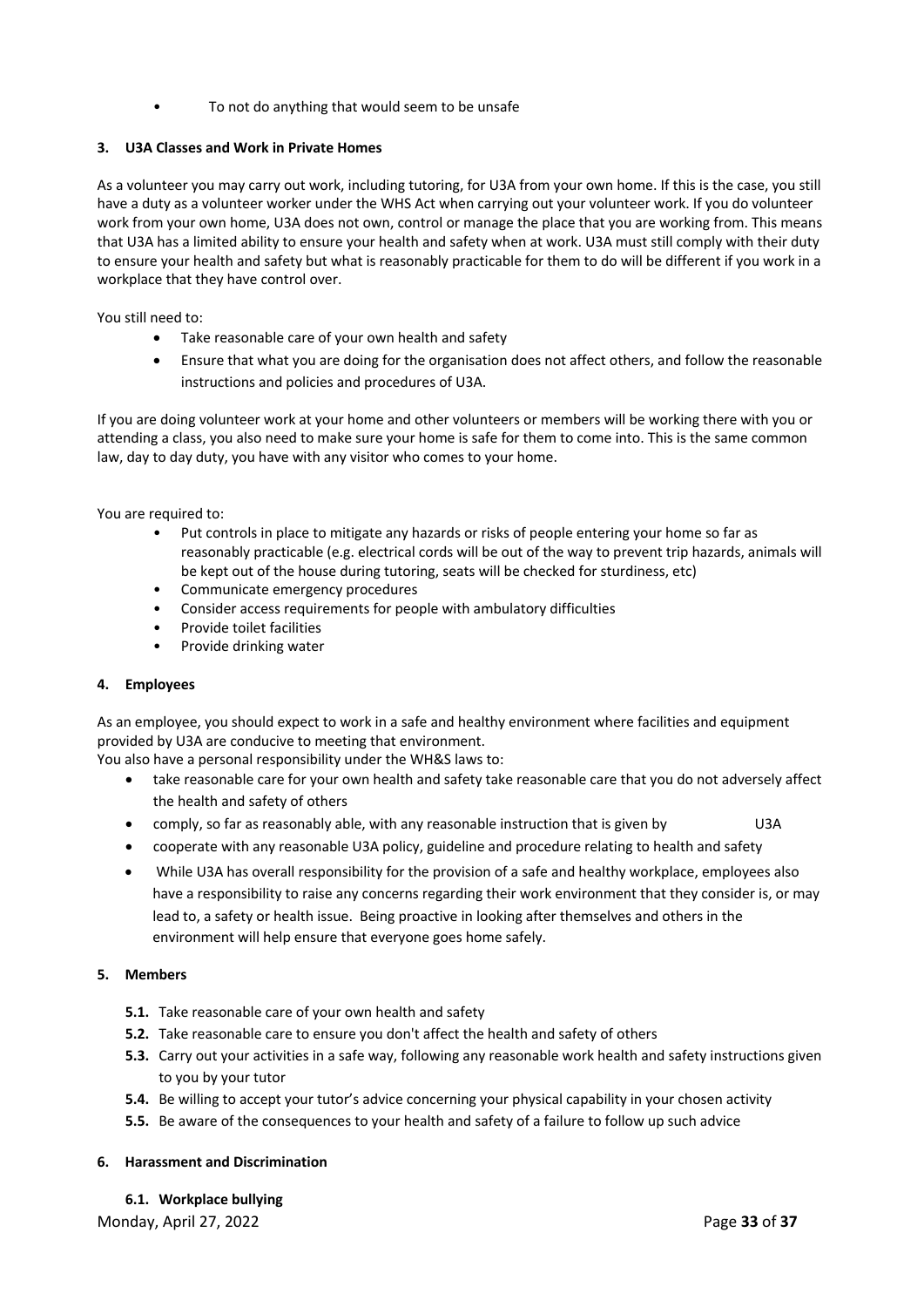To not do anything that would seem to be unsafe

# **3. U3A Classes and Work in Private Homes**

As a volunteer you may carry out work, including tutoring, for U3A from your own home. If this is the case, you still have a duty as a volunteer worker under the WHS Act when carrying out your volunteer work. If you do volunteer work from your own home, U3A does not own, control or manage the place that you are working from. This means that U3A has a limited ability to ensure your health and safety when at work. U3A must still comply with their duty to ensure your health and safety but what is reasonably practicable for them to do will be different if you work in a workplace that they have control over.

You still need to:

- Take reasonable care of your own health and safety
- Ensure that what you are doing for the organisation does not affect others, and follow the reasonable instructions and policies and procedures of U3A.

If you are doing volunteer work at your home and other volunteers or members will be working there with you or attending a class, you also need to make sure your home is safe for them to come into. This is the same common law, day to day duty, you have with any visitor who comes to your home.

You are required to:

- Put controls in place to mitigate any hazards or risks of people entering your home so far as reasonably practicable (e.g. electrical cords will be out of the way to prevent trip hazards, animals will be kept out of the house during tutoring, seats will be checked for sturdiness, etc)
- Communicate emergency procedures
- Consider access requirements for people with ambulatory difficulties
- Provide toilet facilities
- Provide drinking water

#### **4. Employees**

As an employee, you should expect to work in a safe and healthy environment where facilities and equipment provided by U3A are conducive to meeting that environment.

You also have a personal responsibility under the WH&S laws to:

- take reasonable care for your own health and safety take reasonable care that you do not adversely affect the health and safety of others
- comply, so far as reasonably able, with any reasonable instruction that is given by U3A
- cooperate with any reasonable U3A policy, guideline and procedure relating to health and safety
- While U3A has overall responsibility for the provision of a safe and healthy workplace, employees also have a responsibility to raise any concerns regarding their work environment that they consider is, or may lead to, a safety or health issue. Being proactive in looking after themselves and others in the environment will help ensure that everyone goes home safely.

# **5. Members**

- **5.1.** Take reasonable care of your own health and safety
- **5.2.** Take reasonable care to ensure you don't affect the health and safety of others
- **5.3.** Carry out your activities in a safe way, following any reasonable work health and safety instructions given to you by your tutor
- **5.4.** Be willing to accept your tutor's advice concerning your physical capability in your chosen activity
- **5.5.** Be aware of the consequences to your health and safety of a failure to follow up such advice

#### **6. Harassment and Discrimination**

**6.1. Workplace bullying**

Monday, April 27, 2022 **Page 33** of 37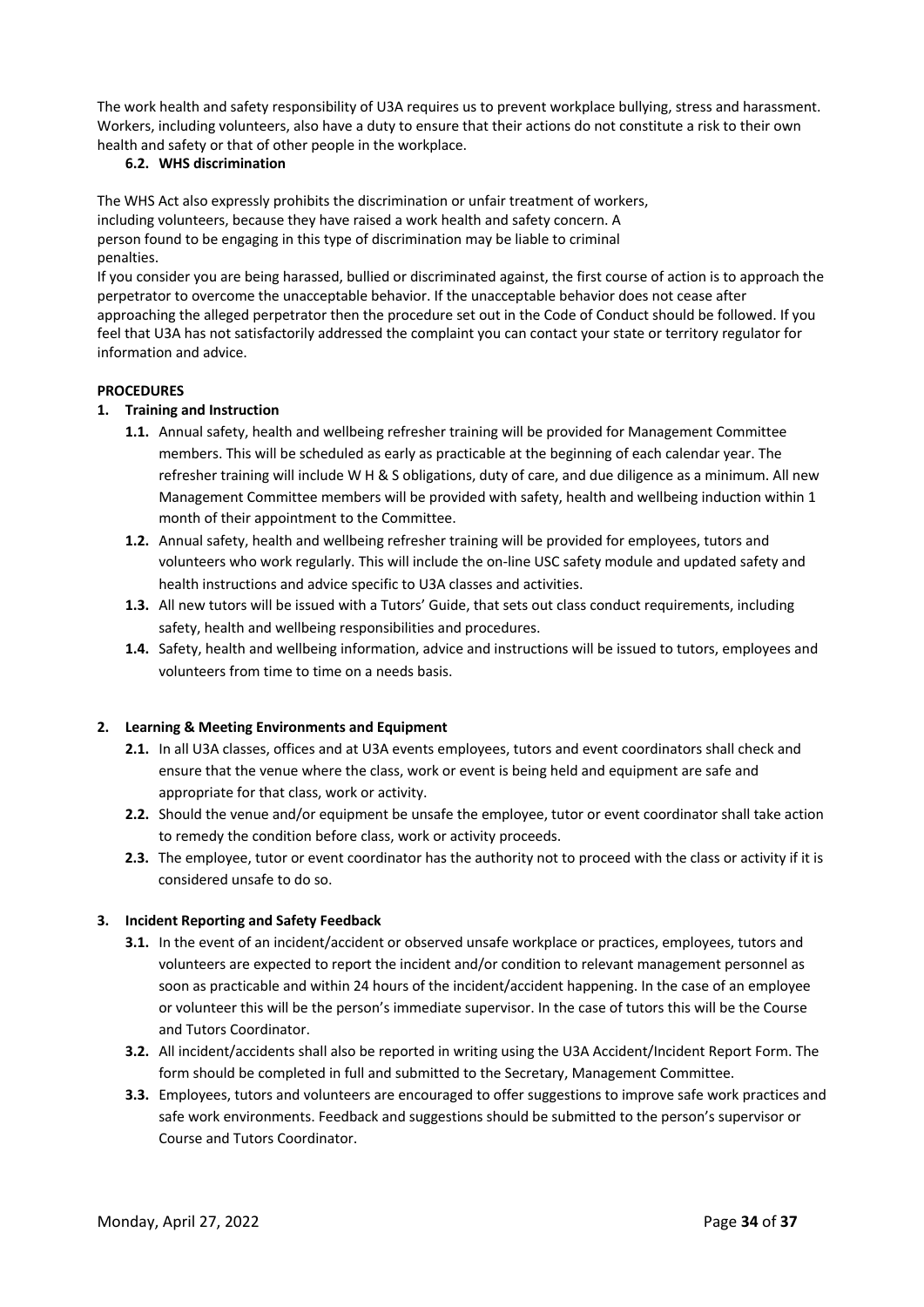The work health and safety responsibility of U3A requires us to prevent workplace bullying, stress and harassment. Workers, including volunteers, also have a duty to ensure that their actions do not constitute a risk to their own health and safety or that of other people in the workplace.

# **6.2. WHS discrimination**

The WHS Act also expressly prohibits the discrimination or unfair treatment of workers, including volunteers, because they have raised a work health and safety concern. A person found to be engaging in this type of discrimination may be liable to criminal penalties.

If you consider you are being harassed, bullied or discriminated against, the first course of action is to approach the perpetrator to overcome the unacceptable behavior. If the unacceptable behavior does not cease after approaching the alleged perpetrator then the procedure set out in the Code of Conduct should be followed. If you feel that U3A has not satisfactorily addressed the complaint you can contact your state or territory regulator for information and advice.

# **PROCEDURES**

# **1. Training and Instruction**

- **1.1.** Annual safety, health and wellbeing refresher training will be provided for Management Committee members. This will be scheduled as early as practicable at the beginning of each calendar year. The refresher training will include W H & S obligations, duty of care, and due diligence as a minimum. All new Management Committee members will be provided with safety, health and wellbeing induction within 1 month of their appointment to the Committee.
- **1.2.** Annual safety, health and wellbeing refresher training will be provided for employees, tutors and volunteers who work regularly. This will include the on-line USC safety module and updated safety and health instructions and advice specific to U3A classes and activities.
- **1.3.** All new tutors will be issued with a Tutors' Guide, that sets out class conduct requirements, including safety, health and wellbeing responsibilities and procedures.
- **1.4.** Safety, health and wellbeing information, advice and instructions will be issued to tutors, employees and volunteers from time to time on a needs basis.

#### **2. Learning & Meeting Environments and Equipment**

- **2.1.** In all U3A classes, offices and at U3A events employees, tutors and event coordinators shall check and ensure that the venue where the class, work or event is being held and equipment are safe and appropriate for that class, work or activity.
- **2.2.** Should the venue and/or equipment be unsafe the employee, tutor or event coordinator shall take action to remedy the condition before class, work or activity proceeds.
- **2.3.** The employee, tutor or event coordinator has the authority not to proceed with the class or activity if it is considered unsafe to do so.

# **3. Incident Reporting and Safety Feedback**

- **3.1.** In the event of an incident/accident or observed unsafe workplace or practices, employees, tutors and volunteers are expected to report the incident and/or condition to relevant management personnel as soon as practicable and within 24 hours of the incident/accident happening. In the case of an employee or volunteer this will be the person's immediate supervisor. In the case of tutors this will be the Course and Tutors Coordinator.
- **3.2.** All incident/accidents shall also be reported in writing using the U3A Accident/Incident Report Form. The form should be completed in full and submitted to the Secretary, Management Committee.
- **3.3.** Employees, tutors and volunteers are encouraged to offer suggestions to improve safe work practices and safe work environments. Feedback and suggestions should be submitted to the person's supervisor or Course and Tutors Coordinator.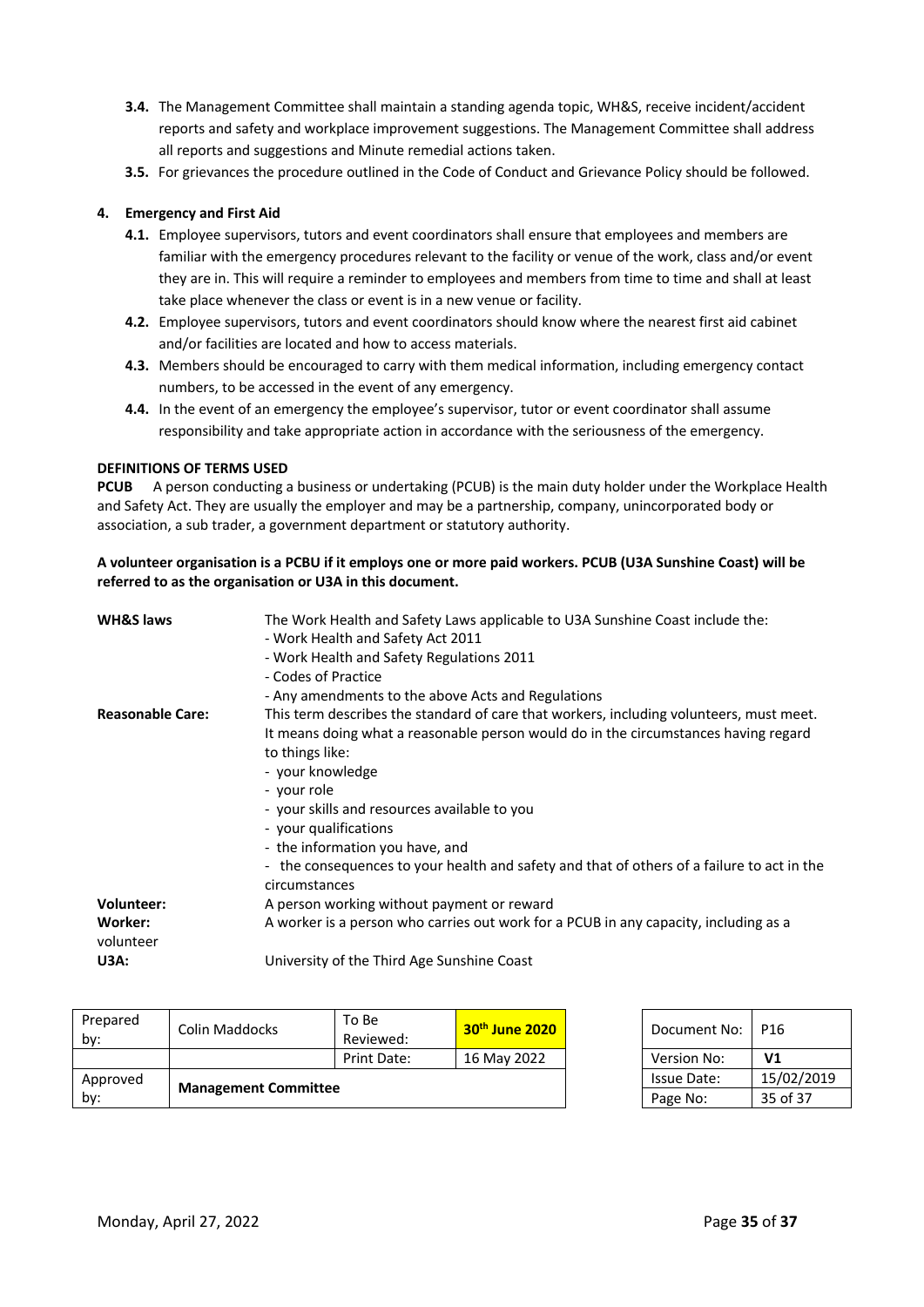- **3.4.** The Management Committee shall maintain a standing agenda topic, WH&S, receive incident/accident reports and safety and workplace improvement suggestions. The Management Committee shall address all reports and suggestions and Minute remedial actions taken.
- **3.5.** For grievances the procedure outlined in the Code of Conduct and Grievance Policy should be followed.

# **4. Emergency and First Aid**

- **4.1.** Employee supervisors, tutors and event coordinators shall ensure that employees and members are familiar with the emergency procedures relevant to the facility or venue of the work, class and/or event they are in. This will require a reminder to employees and members from time to time and shall at least take place whenever the class or event is in a new venue or facility.
- **4.2.** Employee supervisors, tutors and event coordinators should know where the nearest first aid cabinet and/or facilities are located and how to access materials.
- **4.3.** Members should be encouraged to carry with them medical information, including emergency contact numbers, to be accessed in the event of any emergency.
- **4.4.** In the event of an emergency the employee's supervisor, tutor or event coordinator shall assume responsibility and take appropriate action in accordance with the seriousness of the emergency.

#### **DEFINITIONS OF TERMS USED**

**PCUB** A person conducting a business or undertaking (PCUB) is the main duty holder under the Workplace Health and Safety Act. They are usually the employer and may be a partnership, company, unincorporated body or association, a sub trader, a government department or statutory authority.

# **A volunteer organisation is a PCBU if it employs one or more paid workers. PCUB (U3A Sunshine Coast) will be referred to as the organisation or U3A in this document.**

| <b>WH&amp;S laws</b>    | The Work Health and Safety Laws applicable to U3A Sunshine Coast include the:<br>- Work Health and Safety Act 2011                                                                                                                                                                                            |
|-------------------------|---------------------------------------------------------------------------------------------------------------------------------------------------------------------------------------------------------------------------------------------------------------------------------------------------------------|
|                         | - Work Health and Safety Regulations 2011                                                                                                                                                                                                                                                                     |
|                         | - Codes of Practice                                                                                                                                                                                                                                                                                           |
|                         | - Any amendments to the above Acts and Regulations                                                                                                                                                                                                                                                            |
| <b>Reasonable Care:</b> | This term describes the standard of care that workers, including volunteers, must meet.<br>It means doing what a reasonable person would do in the circumstances having regard<br>to things like:<br>- your knowledge<br>- your role<br>- your skills and resources available to you<br>- your qualifications |
|                         | - the information you have, and                                                                                                                                                                                                                                                                               |
|                         | - the consequences to your health and safety and that of others of a failure to act in the<br>circumstances                                                                                                                                                                                                   |
| <b>Volunteer:</b>       | A person working without payment or reward                                                                                                                                                                                                                                                                    |
| Worker:<br>volunteer    | A worker is a person who carries out work for a PCUB in any capacity, including as a                                                                                                                                                                                                                          |
| U3A:                    | University of the Third Age Sunshine Coast                                                                                                                                                                                                                                                                    |

| Prepared<br>by: | Colin Maddocks              | To Be<br>Reviewed: | $30th$ June 2020 | Document No:       | P16            |
|-----------------|-----------------------------|--------------------|------------------|--------------------|----------------|
|                 |                             | Print Date:        | 16 May 2022      | Version No:        | V <sub>1</sub> |
| Approved        | <b>Management Committee</b> |                    |                  | <b>Issue Date:</b> | 15/02/2019     |
| by:             |                             |                    |                  | Page No:           | 35 of 37       |

| Document No:       | P16        |
|--------------------|------------|
| <b>Version No:</b> | V1         |
| Issue Date:        | 15/02/2019 |
| Page No:           | 35 of 37   |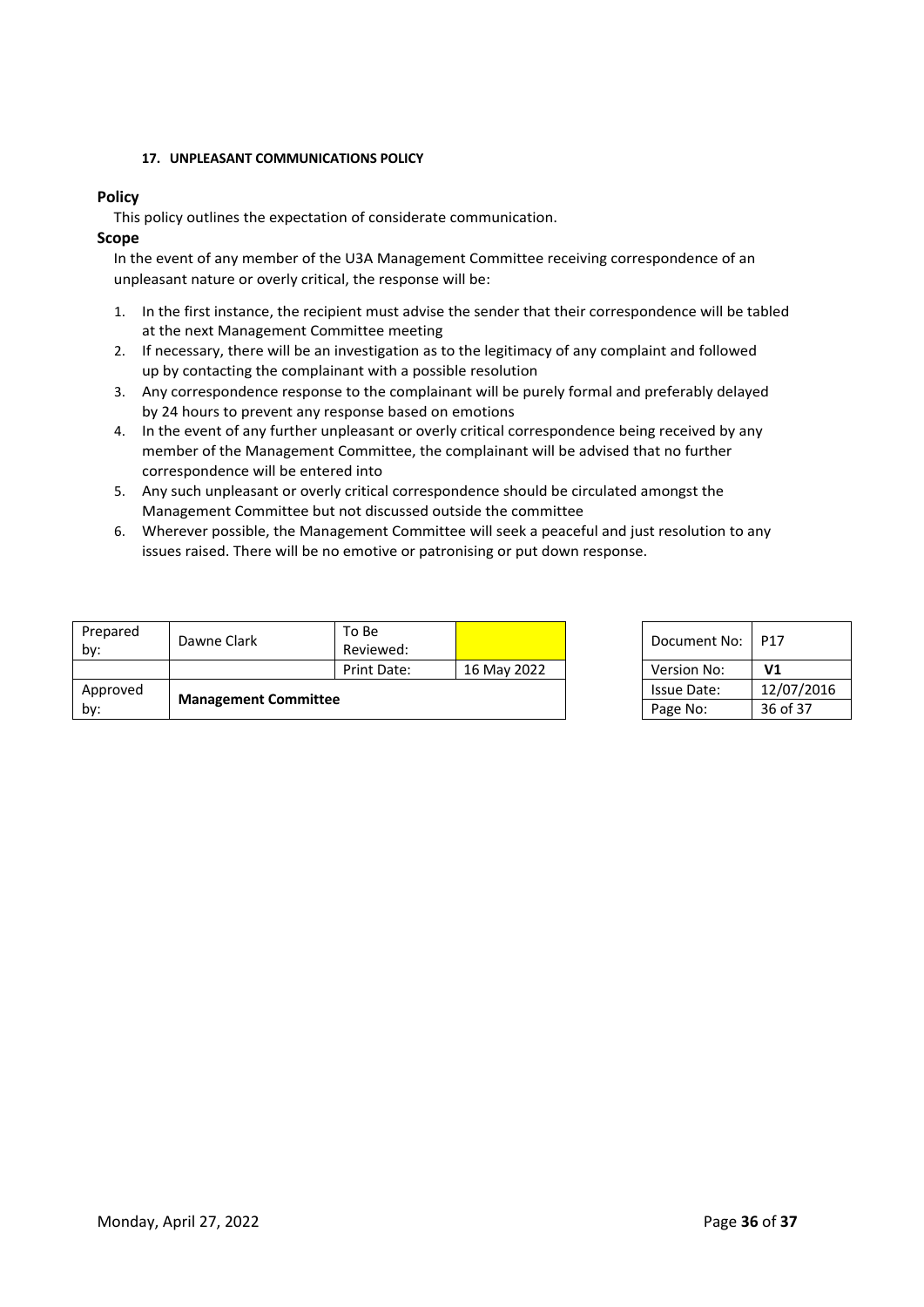# **17. UNPLEASANT COMMUNICATIONS POLICY**

# **Policy**

This policy outlines the expectation of considerate communication.

#### **Scope**

In the event of any member of the U3A Management Committee receiving correspondence of an unpleasant nature or overly critical, the response will be:

- 1. In the first instance, the recipient must advise the sender that their correspondence will be tabled at the next Management Committee meeting
- 2. If necessary, there will be an investigation as to the legitimacy of any complaint and followed up by contacting the complainant with a possible resolution
- 3. Any correspondence response to the complainant will be purely formal and preferably delayed by 24 hours to prevent any response based on emotions
- 4. In the event of any further unpleasant or overly critical correspondence being received by any member of the Management Committee, the complainant will be advised that no further correspondence will be entered into
- 5. Any such unpleasant or overly critical correspondence should be circulated amongst the Management Committee but not discussed outside the committee
- 6. Wherever possible, the Management Committee will seek a peaceful and just resolution to any issues raised. There will be no emotive or patronising or put down response.

| Prepared<br>by: | Dawne Clark                 | To Be<br>Reviewed: |             | Document No: I     | P17            |
|-----------------|-----------------------------|--------------------|-------------|--------------------|----------------|
|                 |                             | Print Date:        | 16 May 2022 | Version No:        | V <sub>1</sub> |
| Approved        | <b>Management Committee</b> |                    |             | <b>Issue Date:</b> | 12/07/2016     |
| by:             |                             |                    |             | Page No:           | 36 of 37       |

| Document No:       | P17        |
|--------------------|------------|
| <b>Version No:</b> | V1         |
| <b>Issue Date:</b> | 12/07/2016 |
| Page No:           | 36 of 37   |